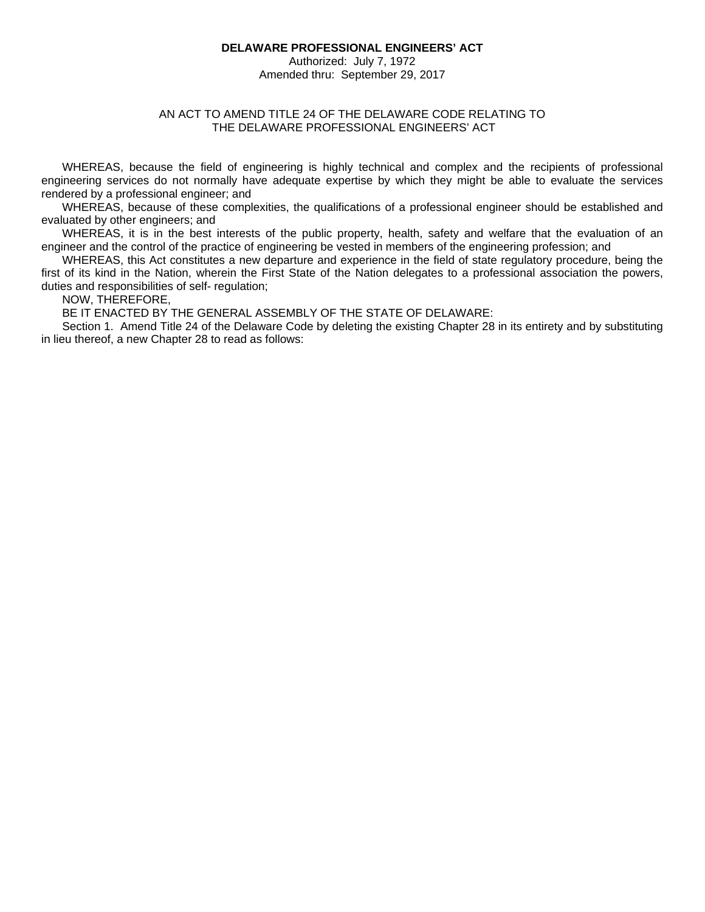#### **DELAWARE PROFESSIONAL ENGINEERS' ACT**

Authorized: July 7, 1972 Amended thru: September 29, 2017

## AN ACT TO AMEND TITLE 24 OF THE DELAWARE CODE RELATING TO THE DELAWARE PROFESSIONAL ENGINEERS' ACT

WHEREAS, because the field of engineering is highly technical and complex and the recipients of professional engineering services do not normally have adequate expertise by which they might be able to evaluate the services rendered by a professional engineer; and

WHEREAS, because of these complexities, the qualifications of a professional engineer should be established and evaluated by other engineers; and

WHEREAS, it is in the best interests of the public property, health, safety and welfare that the evaluation of an engineer and the control of the practice of engineering be vested in members of the engineering profession; and

WHEREAS, this Act constitutes a new departure and experience in the field of state regulatory procedure, being the first of its kind in the Nation, wherein the First State of the Nation delegates to a professional association the powers, duties and responsibilities of self- regulation;

NOW, THEREFORE,

BE IT ENACTED BY THE GENERAL ASSEMBLY OF THE STATE OF DELAWARE:

Section 1. Amend Title 24 of the Delaware Code by deleting the existing Chapter 28 in its entirety and by substituting in lieu thereof, a new Chapter 28 to read as follows: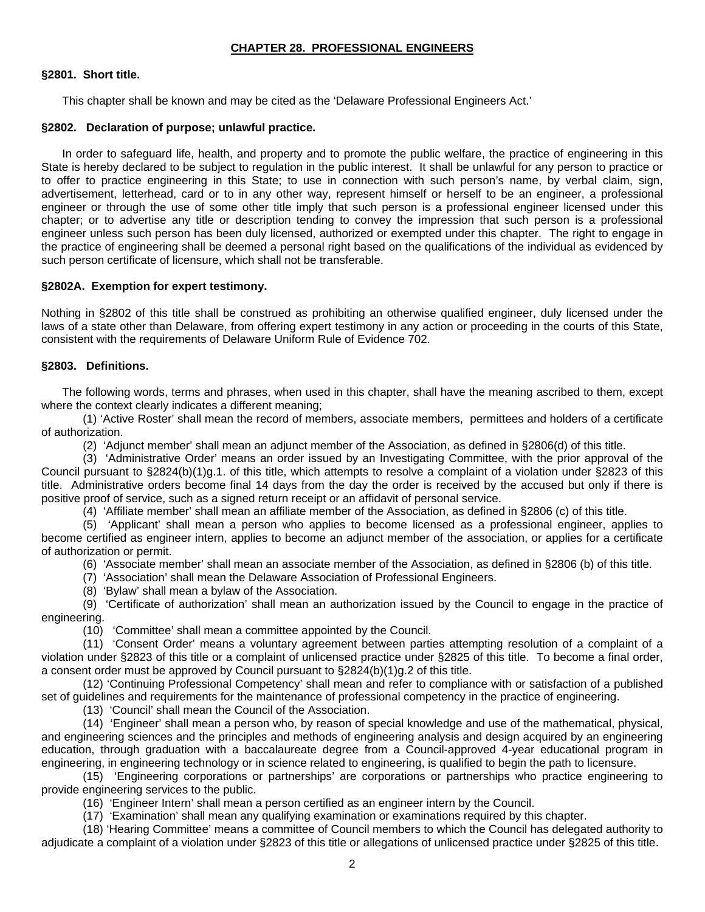# **CHAPTER 28. PROFESSIONAL ENGINEERS**

# **§2801. Short title.**

This chapter shall be known and may be cited as the 'Delaware Professional Engineers Act.'

#### **§2802. Declaration of purpose; unlawful practice.**

In order to safeguard life, health, and property and to promote the public welfare, the practice of engineering in this State is hereby declared to be subject to regulation in the public interest. It shall be unlawful for any person to practice or to offer to practice engineering in this State; to use in connection with such person's name, by verbal claim, sign, advertisement, letterhead, card or to in any other way, represent himself or herself to be an engineer, a professional engineer or through the use of some other title imply that such person is a professional engineer licensed under this chapter; or to advertise any title or description tending to convey the impression that such person is a professional engineer unless such person has been duly licensed, authorized or exempted under this chapter. The right to engage in the practice of engineering shall be deemed a personal right based on the qualifications of the individual as evidenced by such person certificate of licensure, which shall not be transferable.

## **§2802A. Exemption for expert testimony.**

Nothing in §2802 of this title shall be construed as prohibiting an otherwise qualified engineer, duly licensed under the laws of a state other than Delaware, from offering expert testimony in any action or proceeding in the courts of this State, consistent with the requirements of Delaware Uniform Rule of Evidence 702.

#### **§2803. Definitions.**

The following words, terms and phrases, when used in this chapter, shall have the meaning ascribed to them, except where the context clearly indicates a different meaning;

 (1) 'Active Roster' shall mean the record of members, associate members, permittees and holders of a certificate of authorization.

(2) 'Adjunct member' shall mean an adjunct member of the Association, as defined in §2806(d) of this title.

 (3) 'Administrative Order' means an order issued by an Investigating Committee, with the prior approval of the Council pursuant to §2824(b)(1)g.1. of this title, which attempts to resolve a complaint of a violation under §2823 of this title. Administrative orders become final 14 days from the day the order is received by the accused but only if there is positive proof of service, such as a signed return receipt or an affidavit of personal service.

(4) 'Affiliate member' shall mean an affiliate member of the Association, as defined in §2806 (c) of this title.

 (5) 'Applicant' shall mean a person who applies to become licensed as a professional engineer, applies to become certified as engineer intern, applies to become an adjunct member of the association, or applies for a certificate of authorization or permit.

(6) 'Associate member' shall mean an associate member of the Association, as defined in §2806 (b) of this title.

(7) 'Association' shall mean the Delaware Association of Professional Engineers.

(8) 'Bylaw' shall mean a bylaw of the Association.

 (9) 'Certificate of authorization' shall mean an authorization issued by the Council to engage in the practice of engineering.

(10) 'Committee' shall mean a committee appointed by the Council.

 (11) 'Consent Order' means a voluntary agreement between parties attempting resolution of a complaint of a violation under §2823 of this title or a complaint of unlicensed practice under §2825 of this title. To become a final order, a consent order must be approved by Council pursuant to §2824(b)(1)g.2 of this title.

 (12) 'Continuing Professional Competency' shall mean and refer to compliance with or satisfaction of a published set of guidelines and requirements for the maintenance of professional competency in the practice of engineering.

(13) 'Council' shall mean the Council of the Association.

 (14) 'Engineer' shall mean a person who, by reason of special knowledge and use of the mathematical, physical, and engineering sciences and the principles and methods of engineering analysis and design acquired by an engineering education, through graduation with a baccalaureate degree from a Council-approved 4-year educational program in engineering, in engineering technology or in science related to engineering, is qualified to begin the path to licensure.

 (15) 'Engineering corporations or partnerships' are corporations or partnerships who practice engineering to provide engineering services to the public.

(16) 'Engineer Intern' shall mean a person certified as an engineer intern by the Council.

(17) 'Examination' shall mean any qualifying examination or examinations required by this chapter.

 (18) 'Hearing Committee' means a committee of Council members to which the Council has delegated authority to adjudicate a complaint of a violation under §2823 of this title or allegations of unlicensed practice under §2825 of this title.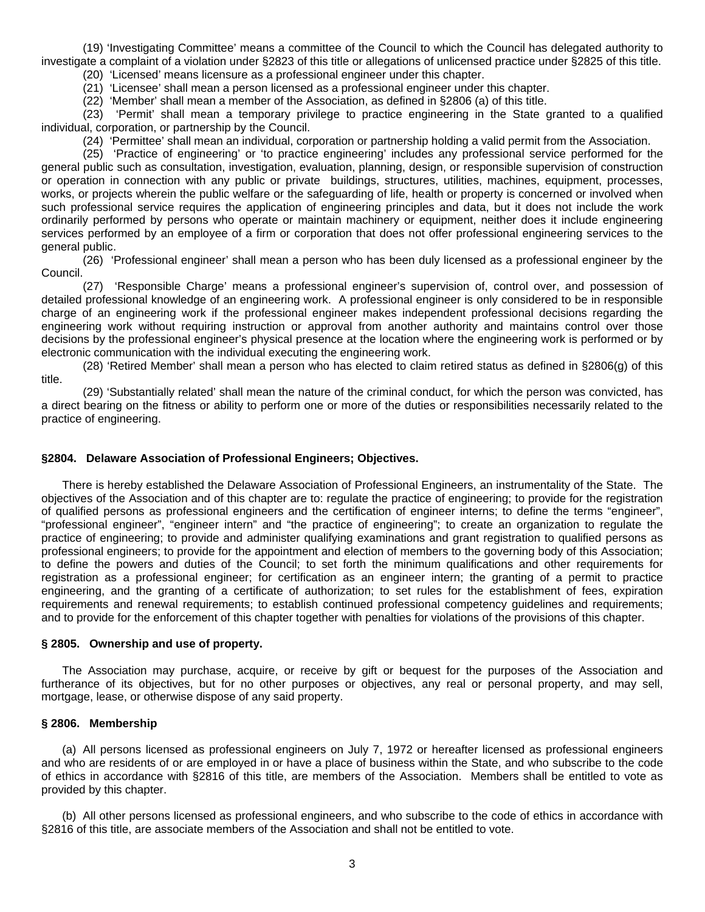(19) 'Investigating Committee' means a committee of the Council to which the Council has delegated authority to investigate a complaint of a violation under §2823 of this title or allegations of unlicensed practice under §2825 of this title.

(20) 'Licensed' means licensure as a professional engineer under this chapter.

(21) 'Licensee' shall mean a person licensed as a professional engineer under this chapter.

(22) 'Member' shall mean a member of the Association, as defined in §2806 (a) of this title.

 (23) 'Permit' shall mean a temporary privilege to practice engineering in the State granted to a qualified individual, corporation, or partnership by the Council.

(24) 'Permittee' shall mean an individual, corporation or partnership holding a valid permit from the Association.

 (25) 'Practice of engineering' or 'to practice engineering' includes any professional service performed for the general public such as consultation, investigation, evaluation, planning, design, or responsible supervision of construction or operation in connection with any public or private buildings, structures, utilities, machines, equipment, processes, works, or projects wherein the public welfare or the safeguarding of life, health or property is concerned or involved when such professional service requires the application of engineering principles and data, but it does not include the work ordinarily performed by persons who operate or maintain machinery or equipment, neither does it include engineering services performed by an employee of a firm or corporation that does not offer professional engineering services to the general public.

 (26) 'Professional engineer' shall mean a person who has been duly licensed as a professional engineer by the Council.

 (27) 'Responsible Charge' means a professional engineer's supervision of, control over, and possession of detailed professional knowledge of an engineering work. A professional engineer is only considered to be in responsible charge of an engineering work if the professional engineer makes independent professional decisions regarding the engineering work without requiring instruction or approval from another authority and maintains control over those decisions by the professional engineer's physical presence at the location where the engineering work is performed or by electronic communication with the individual executing the engineering work.

 (28) 'Retired Member' shall mean a person who has elected to claim retired status as defined in §2806(g) of this title.

 (29) 'Substantially related' shall mean the nature of the criminal conduct, for which the person was convicted, has a direct bearing on the fitness or ability to perform one or more of the duties or responsibilities necessarily related to the practice of engineering.

#### **§2804. Delaware Association of Professional Engineers; Objectives.**

There is hereby established the Delaware Association of Professional Engineers, an instrumentality of the State. The objectives of the Association and of this chapter are to: regulate the practice of engineering; to provide for the registration of qualified persons as professional engineers and the certification of engineer interns; to define the terms "engineer", "professional engineer", "engineer intern" and "the practice of engineering"; to create an organization to regulate the practice of engineering; to provide and administer qualifying examinations and grant registration to qualified persons as professional engineers; to provide for the appointment and election of members to the governing body of this Association; to define the powers and duties of the Council; to set forth the minimum qualifications and other requirements for registration as a professional engineer; for certification as an engineer intern; the granting of a permit to practice engineering, and the granting of a certificate of authorization; to set rules for the establishment of fees, expiration requirements and renewal requirements; to establish continued professional competency guidelines and requirements; and to provide for the enforcement of this chapter together with penalties for violations of the provisions of this chapter.

#### **§ 2805. Ownership and use of property.**

The Association may purchase, acquire, or receive by gift or bequest for the purposes of the Association and furtherance of its objectives, but for no other purposes or objectives, any real or personal property, and may sell, mortgage, lease, or otherwise dispose of any said property.

#### **§ 2806. Membership**

(a) All persons licensed as professional engineers on July 7, 1972 or hereafter licensed as professional engineers and who are residents of or are employed in or have a place of business within the State, and who subscribe to the code of ethics in accordance with §2816 of this title, are members of the Association. Members shall be entitled to vote as provided by this chapter.

(b) All other persons licensed as professional engineers, and who subscribe to the code of ethics in accordance with §2816 of this title, are associate members of the Association and shall not be entitled to vote.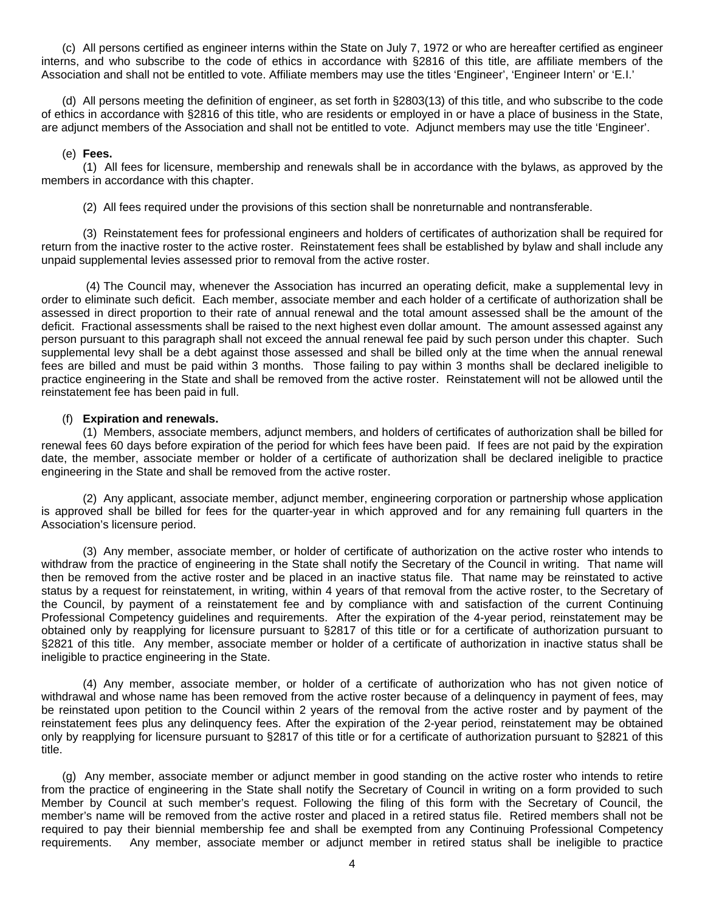(c) All persons certified as engineer interns within the State on July 7, 1972 or who are hereafter certified as engineer interns, and who subscribe to the code of ethics in accordance with §2816 of this title, are affiliate members of the Association and shall not be entitled to vote. Affiliate members may use the titles 'Engineer', 'Engineer Intern' or 'E.I.'

(d) All persons meeting the definition of engineer, as set forth in §2803(13) of this title, and who subscribe to the code of ethics in accordance with §2816 of this title, who are residents or employed in or have a place of business in the State, are adjunct members of the Association and shall not be entitled to vote. Adjunct members may use the title 'Engineer'.

#### (e) **Fees.**

(1) All fees for licensure, membership and renewals shall be in accordance with the bylaws, as approved by the members in accordance with this chapter.

(2) All fees required under the provisions of this section shall be nonreturnable and nontransferable.

(3) Reinstatement fees for professional engineers and holders of certificates of authorization shall be required for return from the inactive roster to the active roster. Reinstatement fees shall be established by bylaw and shall include any unpaid supplemental levies assessed prior to removal from the active roster.

 (4) The Council may, whenever the Association has incurred an operating deficit, make a supplemental levy in order to eliminate such deficit. Each member, associate member and each holder of a certificate of authorization shall be assessed in direct proportion to their rate of annual renewal and the total amount assessed shall be the amount of the deficit. Fractional assessments shall be raised to the next highest even dollar amount. The amount assessed against any person pursuant to this paragraph shall not exceed the annual renewal fee paid by such person under this chapter. Such supplemental levy shall be a debt against those assessed and shall be billed only at the time when the annual renewal fees are billed and must be paid within 3 months. Those failing to pay within 3 months shall be declared ineligible to practice engineering in the State and shall be removed from the active roster. Reinstatement will not be allowed until the reinstatement fee has been paid in full.

#### (f) **Expiration and renewals.**

(1) Members, associate members, adjunct members, and holders of certificates of authorization shall be billed for renewal fees 60 days before expiration of the period for which fees have been paid. If fees are not paid by the expiration date, the member, associate member or holder of a certificate of authorization shall be declared ineligible to practice engineering in the State and shall be removed from the active roster.

(2) Any applicant, associate member, adjunct member, engineering corporation or partnership whose application is approved shall be billed for fees for the quarter-year in which approved and for any remaining full quarters in the Association's licensure period.

(3) Any member, associate member, or holder of certificate of authorization on the active roster who intends to withdraw from the practice of engineering in the State shall notify the Secretary of the Council in writing. That name will then be removed from the active roster and be placed in an inactive status file. That name may be reinstated to active status by a request for reinstatement, in writing, within 4 years of that removal from the active roster, to the Secretary of the Council, by payment of a reinstatement fee and by compliance with and satisfaction of the current Continuing Professional Competency guidelines and requirements. After the expiration of the 4-year period, reinstatement may be obtained only by reapplying for licensure pursuant to §2817 of this title or for a certificate of authorization pursuant to §2821 of this title. Any member, associate member or holder of a certificate of authorization in inactive status shall be ineligible to practice engineering in the State.

(4) Any member, associate member, or holder of a certificate of authorization who has not given notice of withdrawal and whose name has been removed from the active roster because of a delinquency in payment of fees, may be reinstated upon petition to the Council within 2 years of the removal from the active roster and by payment of the reinstatement fees plus any delinquency fees. After the expiration of the 2-year period, reinstatement may be obtained only by reapplying for licensure pursuant to §2817 of this title or for a certificate of authorization pursuant to §2821 of this title.

(g) Any member, associate member or adjunct member in good standing on the active roster who intends to retire from the practice of engineering in the State shall notify the Secretary of Council in writing on a form provided to such Member by Council at such member's request. Following the filing of this form with the Secretary of Council, the member's name will be removed from the active roster and placed in a retired status file. Retired members shall not be required to pay their biennial membership fee and shall be exempted from any Continuing Professional Competency requirements. Any member, associate member or adjunct member in retired status shall be ineligible to practice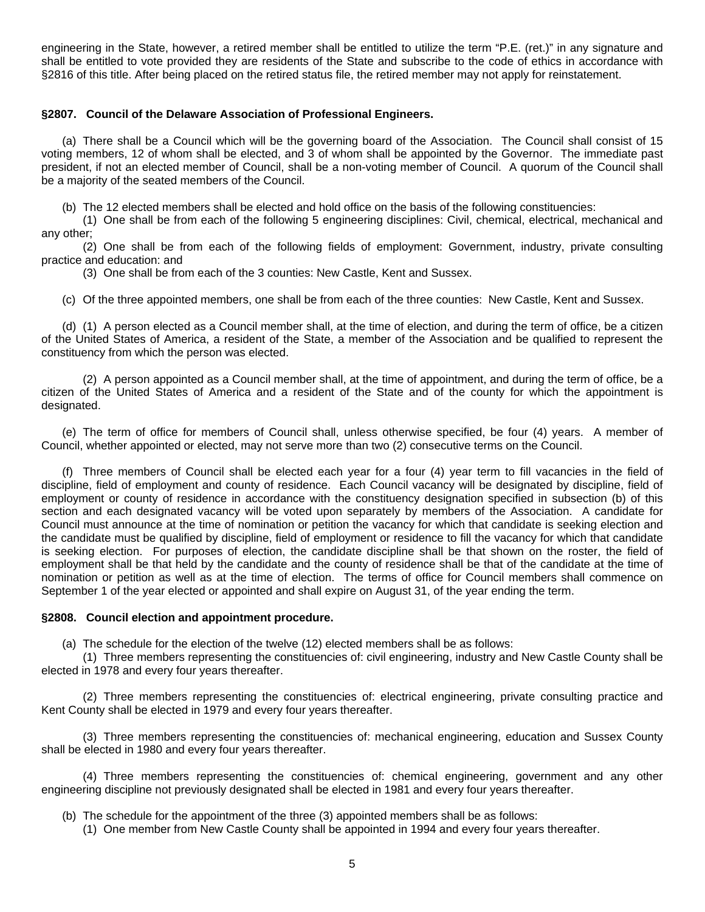engineering in the State, however, a retired member shall be entitled to utilize the term "P.E. (ret.)" in any signature and shall be entitled to vote provided they are residents of the State and subscribe to the code of ethics in accordance with §2816 of this title. After being placed on the retired status file, the retired member may not apply for reinstatement.

#### **§2807. Council of the Delaware Association of Professional Engineers.**

(a) There shall be a Council which will be the governing board of the Association. The Council shall consist of 15 voting members, 12 of whom shall be elected, and 3 of whom shall be appointed by the Governor. The immediate past president, if not an elected member of Council, shall be a non-voting member of Council. A quorum of the Council shall be a majority of the seated members of the Council.

(b) The 12 elected members shall be elected and hold office on the basis of the following constituencies:

(1) One shall be from each of the following 5 engineering disciplines: Civil, chemical, electrical, mechanical and any other;

(2) One shall be from each of the following fields of employment: Government, industry, private consulting practice and education: and

(3) One shall be from each of the 3 counties: New Castle, Kent and Sussex.

(c) Of the three appointed members, one shall be from each of the three counties: New Castle, Kent and Sussex.

(d) (1) A person elected as a Council member shall, at the time of election, and during the term of office, be a citizen of the United States of America, a resident of the State, a member of the Association and be qualified to represent the constituency from which the person was elected.

(2) A person appointed as a Council member shall, at the time of appointment, and during the term of office, be a citizen of the United States of America and a resident of the State and of the county for which the appointment is designated.

(e) The term of office for members of Council shall, unless otherwise specified, be four (4) years. A member of Council, whether appointed or elected, may not serve more than two (2) consecutive terms on the Council.

(f) Three members of Council shall be elected each year for a four (4) year term to fill vacancies in the field of discipline, field of employment and county of residence. Each Council vacancy will be designated by discipline, field of employment or county of residence in accordance with the constituency designation specified in subsection (b) of this section and each designated vacancy will be voted upon separately by members of the Association. A candidate for Council must announce at the time of nomination or petition the vacancy for which that candidate is seeking election and the candidate must be qualified by discipline, field of employment or residence to fill the vacancy for which that candidate is seeking election. For purposes of election, the candidate discipline shall be that shown on the roster, the field of employment shall be that held by the candidate and the county of residence shall be that of the candidate at the time of nomination or petition as well as at the time of election. The terms of office for Council members shall commence on September 1 of the year elected or appointed and shall expire on August 31, of the year ending the term.

#### **§2808. Council election and appointment procedure.**

(a) The schedule for the election of the twelve (12) elected members shall be as follows:

(1) Three members representing the constituencies of: civil engineering, industry and New Castle County shall be elected in 1978 and every four years thereafter.

(2) Three members representing the constituencies of: electrical engineering, private consulting practice and Kent County shall be elected in 1979 and every four years thereafter.

(3) Three members representing the constituencies of: mechanical engineering, education and Sussex County shall be elected in 1980 and every four years thereafter.

(4) Three members representing the constituencies of: chemical engineering, government and any other engineering discipline not previously designated shall be elected in 1981 and every four years thereafter.

(b) The schedule for the appointment of the three (3) appointed members shall be as follows:

(1) One member from New Castle County shall be appointed in 1994 and every four years thereafter.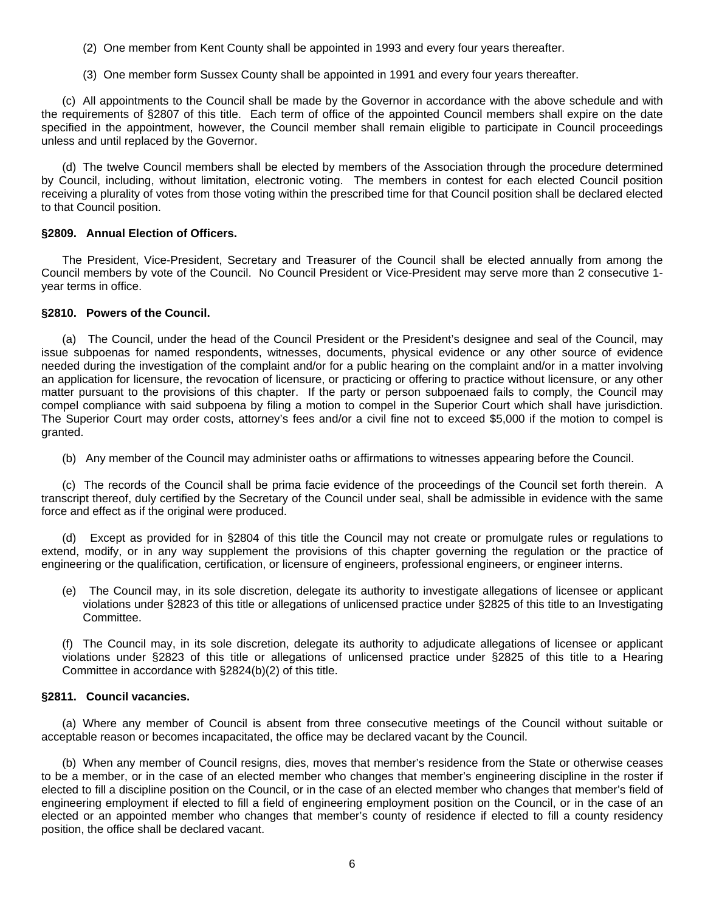- (2) One member from Kent County shall be appointed in 1993 and every four years thereafter.
- (3) One member form Sussex County shall be appointed in 1991 and every four years thereafter.

(c) All appointments to the Council shall be made by the Governor in accordance with the above schedule and with the requirements of §2807 of this title. Each term of office of the appointed Council members shall expire on the date specified in the appointment, however, the Council member shall remain eligible to participate in Council proceedings unless and until replaced by the Governor.

(d) The twelve Council members shall be elected by members of the Association through the procedure determined by Council, including, without limitation, electronic voting. The members in contest for each elected Council position receiving a plurality of votes from those voting within the prescribed time for that Council position shall be declared elected to that Council position.

## **§2809. Annual Election of Officers.**

The President, Vice-President, Secretary and Treasurer of the Council shall be elected annually from among the Council members by vote of the Council. No Council President or Vice-President may serve more than 2 consecutive 1 year terms in office.

## **§2810. Powers of the Council.**

 (a) The Council, under the head of the Council President or the President's designee and seal of the Council, may issue subpoenas for named respondents, witnesses, documents, physical evidence or any other source of evidence needed during the investigation of the complaint and/or for a public hearing on the complaint and/or in a matter involving an application for licensure, the revocation of licensure, or practicing or offering to practice without licensure, or any other matter pursuant to the provisions of this chapter. If the party or person subpoenaed fails to comply, the Council may compel compliance with said subpoena by filing a motion to compel in the Superior Court which shall have jurisdiction. The Superior Court may order costs, attorney's fees and/or a civil fine not to exceed \$5,000 if the motion to compel is granted.

(b) Any member of the Council may administer oaths or affirmations to witnesses appearing before the Council.

(c) The records of the Council shall be prima facie evidence of the proceedings of the Council set forth therein. A transcript thereof, duly certified by the Secretary of the Council under seal, shall be admissible in evidence with the same force and effect as if the original were produced.

(d) Except as provided for in §2804 of this title the Council may not create or promulgate rules or regulations to extend, modify, or in any way supplement the provisions of this chapter governing the regulation or the practice of engineering or the qualification, certification, or licensure of engineers, professional engineers, or engineer interns.

(e) The Council may, in its sole discretion, delegate its authority to investigate allegations of licensee or applicant violations under §2823 of this title or allegations of unlicensed practice under §2825 of this title to an Investigating Committee.

(f) The Council may, in its sole discretion, delegate its authority to adjudicate allegations of licensee or applicant violations under §2823 of this title or allegations of unlicensed practice under §2825 of this title to a Hearing Committee in accordance with §2824(b)(2) of this title.

## **§2811. Council vacancies.**

(a) Where any member of Council is absent from three consecutive meetings of the Council without suitable or acceptable reason or becomes incapacitated, the office may be declared vacant by the Council.

(b) When any member of Council resigns, dies, moves that member's residence from the State or otherwise ceases to be a member, or in the case of an elected member who changes that member's engineering discipline in the roster if elected to fill a discipline position on the Council, or in the case of an elected member who changes that member's field of engineering employment if elected to fill a field of engineering employment position on the Council, or in the case of an elected or an appointed member who changes that member's county of residence if elected to fill a county residency position, the office shall be declared vacant.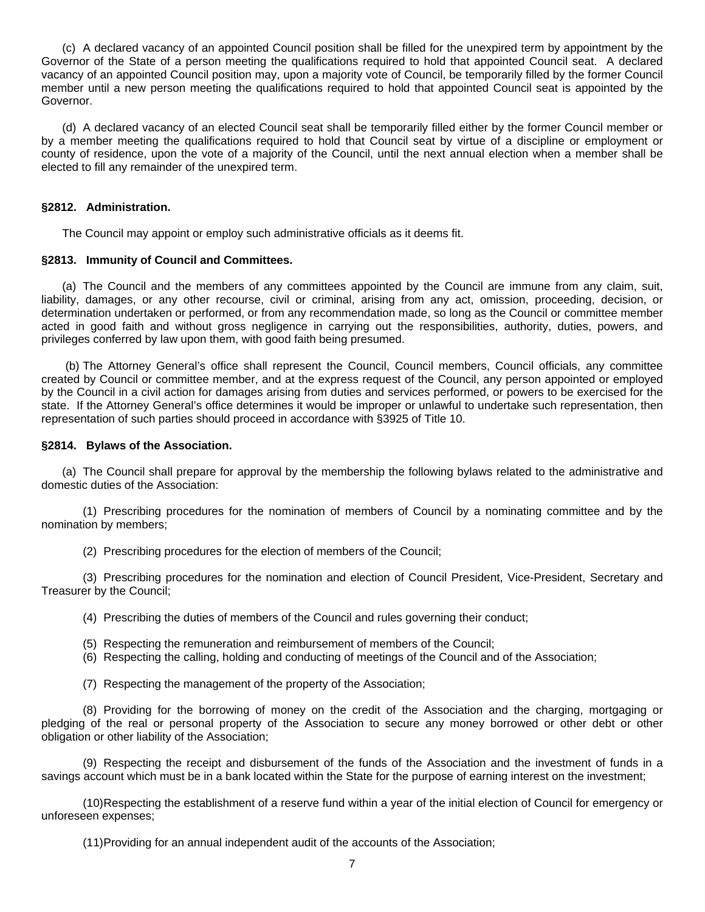(c) A declared vacancy of an appointed Council position shall be filled for the unexpired term by appointment by the Governor of the State of a person meeting the qualifications required to hold that appointed Council seat. A declared vacancy of an appointed Council position may, upon a majority vote of Council, be temporarily filled by the former Council member until a new person meeting the qualifications required to hold that appointed Council seat is appointed by the Governor.

(d) A declared vacancy of an elected Council seat shall be temporarily filled either by the former Council member or by a member meeting the qualifications required to hold that Council seat by virtue of a discipline or employment or county of residence, upon the vote of a majority of the Council, until the next annual election when a member shall be elected to fill any remainder of the unexpired term.

# **§2812. Administration.**

The Council may appoint or employ such administrative officials as it deems fit.

# **§2813. Immunity of Council and Committees.**

(a) The Council and the members of any committees appointed by the Council are immune from any claim, suit, liability, damages, or any other recourse, civil or criminal, arising from any act, omission, proceeding, decision, or determination undertaken or performed, or from any recommendation made, so long as the Council or committee member acted in good faith and without gross negligence in carrying out the responsibilities, authority, duties, powers, and privileges conferred by law upon them, with good faith being presumed.

 (b) The Attorney General's office shall represent the Council, Council members, Council officials, any committee created by Council or committee member, and at the express request of the Council, any person appointed or employed by the Council in a civil action for damages arising from duties and services performed, or powers to be exercised for the state. If the Attorney General's office determines it would be improper or unlawful to undertake such representation, then representation of such parties should proceed in accordance with §3925 of Title 10.

# **§2814. Bylaws of the Association.**

(a) The Council shall prepare for approval by the membership the following bylaws related to the administrative and domestic duties of the Association:

 (1) Prescribing procedures for the nomination of members of Council by a nominating committee and by the nomination by members;

(2) Prescribing procedures for the election of members of the Council;

 (3) Prescribing procedures for the nomination and election of Council President, Vice-President, Secretary and Treasurer by the Council;

(4) Prescribing the duties of members of the Council and rules governing their conduct;

- (5) Respecting the remuneration and reimbursement of members of the Council;
- (6) Respecting the calling, holding and conducting of meetings of the Council and of the Association;
- (7) Respecting the management of the property of the Association;

 (8) Providing for the borrowing of money on the credit of the Association and the charging, mortgaging or pledging of the real or personal property of the Association to secure any money borrowed or other debt or other obligation or other liability of the Association;

 (9) Respecting the receipt and disbursement of the funds of the Association and the investment of funds in a savings account which must be in a bank located within the State for the purpose of earning interest on the investment;

 (10) Respecting the establishment of a reserve fund within a year of the initial election of Council for emergency or unforeseen expenses;

(11) Providing for an annual independent audit of the accounts of the Association;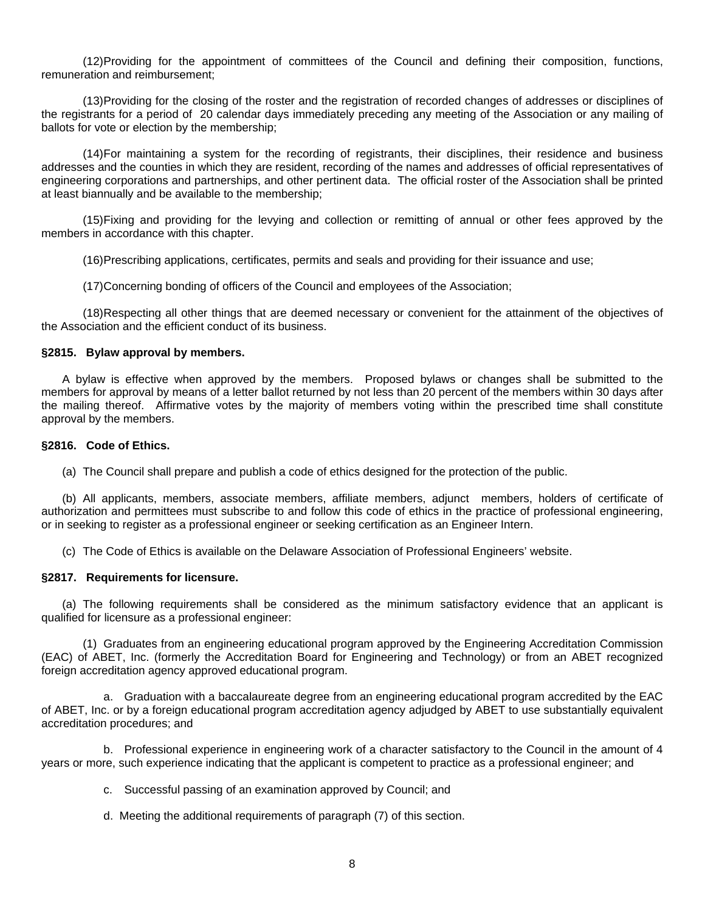(12) Providing for the appointment of committees of the Council and defining their composition, functions, remuneration and reimbursement;

 (13) Providing for the closing of the roster and the registration of recorded changes of addresses or disciplines of the registrants for a period of 20 calendar days immediately preceding any meeting of the Association or any mailing of ballots for vote or election by the membership;

 (14) For maintaining a system for the recording of registrants, their disciplines, their residence and business addresses and the counties in which they are resident, recording of the names and addresses of official representatives of engineering corporations and partnerships, and other pertinent data. The official roster of the Association shall be printed at least biannually and be available to the membership;

 (15) Fixing and providing for the levying and collection or remitting of annual or other fees approved by the members in accordance with this chapter.

(16) Prescribing applications, certificates, permits and seals and providing for their issuance and use;

(17) Concerning bonding of officers of the Council and employees of the Association;

 (18) Respecting all other things that are deemed necessary or convenient for the attainment of the objectives of the Association and the efficient conduct of its business.

#### **§2815. Bylaw approval by members.**

A bylaw is effective when approved by the members. Proposed bylaws or changes shall be submitted to the members for approval by means of a letter ballot returned by not less than 20 percent of the members within 30 days after the mailing thereof. Affirmative votes by the majority of members voting within the prescribed time shall constitute approval by the members.

#### **§2816. Code of Ethics.**

(a) The Council shall prepare and publish a code of ethics designed for the protection of the public.

(b) All applicants, members, associate members, affiliate members, adjunct members, holders of certificate of authorization and permittees must subscribe to and follow this code of ethics in the practice of professional engineering, or in seeking to register as a professional engineer or seeking certification as an Engineer Intern.

(c) The Code of Ethics is available on the Delaware Association of Professional Engineers' website.

#### **§2817. Requirements for licensure.**

(a) The following requirements shall be considered as the minimum satisfactory evidence that an applicant is qualified for licensure as a professional engineer:

 (1) Graduates from an engineering educational program approved by the Engineering Accreditation Commission (EAC) of ABET, Inc. (formerly the Accreditation Board for Engineering and Technology) or from an ABET recognized foreign accreditation agency approved educational program.

 a. Graduation with a baccalaureate degree from an engineering educational program accredited by the EAC of ABET, Inc. or by a foreign educational program accreditation agency adjudged by ABET to use substantially equivalent accreditation procedures; and

 b. Professional experience in engineering work of a character satisfactory to the Council in the amount of 4 years or more, such experience indicating that the applicant is competent to practice as a professional engineer; and

c. Successful passing of an examination approved by Council; and

d. Meeting the additional requirements of paragraph (7) of this section.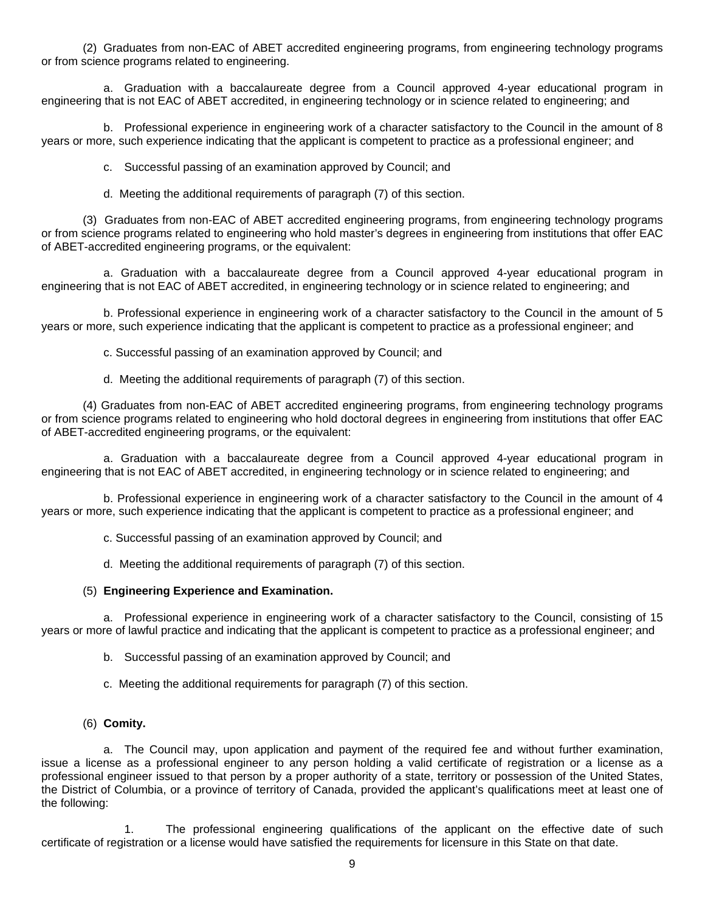(2) Graduates from non-EAC of ABET accredited engineering programs, from engineering technology programs or from science programs related to engineering.

 a. Graduation with a baccalaureate degree from a Council approved 4-year educational program in engineering that is not EAC of ABET accredited, in engineering technology or in science related to engineering; and

 b. Professional experience in engineering work of a character satisfactory to the Council in the amount of 8 years or more, such experience indicating that the applicant is competent to practice as a professional engineer; and

c. Successful passing of an examination approved by Council; and

d. Meeting the additional requirements of paragraph (7) of this section.

(3) Graduates from non-EAC of ABET accredited engineering programs, from engineering technology programs or from science programs related to engineering who hold master's degrees in engineering from institutions that offer EAC of ABET-accredited engineering programs, or the equivalent:

a. Graduation with a baccalaureate degree from a Council approved 4-year educational program in engineering that is not EAC of ABET accredited, in engineering technology or in science related to engineering; and

b. Professional experience in engineering work of a character satisfactory to the Council in the amount of 5 years or more, such experience indicating that the applicant is competent to practice as a professional engineer; and

c. Successful passing of an examination approved by Council; and

d. Meeting the additional requirements of paragraph (7) of this section.

(4) Graduates from non-EAC of ABET accredited engineering programs, from engineering technology programs or from science programs related to engineering who hold doctoral degrees in engineering from institutions that offer EAC of ABET-accredited engineering programs, or the equivalent:

a. Graduation with a baccalaureate degree from a Council approved 4-year educational program in engineering that is not EAC of ABET accredited, in engineering technology or in science related to engineering; and

b. Professional experience in engineering work of a character satisfactory to the Council in the amount of 4 years or more, such experience indicating that the applicant is competent to practice as a professional engineer; and

c. Successful passing of an examination approved by Council; and

d. Meeting the additional requirements of paragraph (7) of this section.

## (5) **Engineering Experience and Examination.**

 a. Professional experience in engineering work of a character satisfactory to the Council, consisting of 15 years or more of lawful practice and indicating that the applicant is competent to practice as a professional engineer; and

b. Successful passing of an examination approved by Council; and

c. Meeting the additional requirements for paragraph (7) of this section.

(6) **Comity.** 

 a. The Council may, upon application and payment of the required fee and without further examination, issue a license as a professional engineer to any person holding a valid certificate of registration or a license as a professional engineer issued to that person by a proper authority of a state, territory or possession of the United States, the District of Columbia, or a province of territory of Canada, provided the applicant's qualifications meet at least one of the following:

 1. The professional engineering qualifications of the applicant on the effective date of such certificate of registration or a license would have satisfied the requirements for licensure in this State on that date.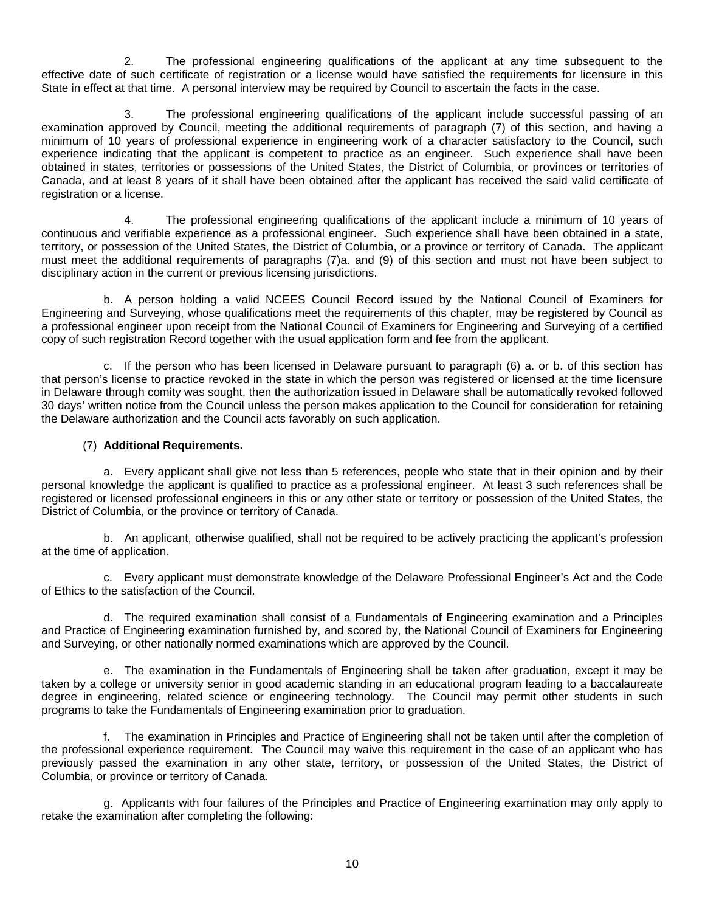2. The professional engineering qualifications of the applicant at any time subsequent to the effective date of such certificate of registration or a license would have satisfied the requirements for licensure in this State in effect at that time. A personal interview may be required by Council to ascertain the facts in the case.

 3. The professional engineering qualifications of the applicant include successful passing of an examination approved by Council, meeting the additional requirements of paragraph (7) of this section, and having a minimum of 10 years of professional experience in engineering work of a character satisfactory to the Council, such experience indicating that the applicant is competent to practice as an engineer. Such experience shall have been obtained in states, territories or possessions of the United States, the District of Columbia, or provinces or territories of Canada, and at least 8 years of it shall have been obtained after the applicant has received the said valid certificate of registration or a license.

 4. The professional engineering qualifications of the applicant include a minimum of 10 years of continuous and verifiable experience as a professional engineer. Such experience shall have been obtained in a state, territory, or possession of the United States, the District of Columbia, or a province or territory of Canada. The applicant must meet the additional requirements of paragraphs (7)a. and (9) of this section and must not have been subject to disciplinary action in the current or previous licensing jurisdictions.

 b. A person holding a valid NCEES Council Record issued by the National Council of Examiners for Engineering and Surveying, whose qualifications meet the requirements of this chapter, may be registered by Council as a professional engineer upon receipt from the National Council of Examiners for Engineering and Surveying of a certified copy of such registration Record together with the usual application form and fee from the applicant.

 c. If the person who has been licensed in Delaware pursuant to paragraph (6) a. or b. of this section has that person's license to practice revoked in the state in which the person was registered or licensed at the time licensure in Delaware through comity was sought, then the authorization issued in Delaware shall be automatically revoked followed 30 days' written notice from the Council unless the person makes application to the Council for consideration for retaining the Delaware authorization and the Council acts favorably on such application.

# (7) **Additional Requirements.**

 a. Every applicant shall give not less than 5 references, people who state that in their opinion and by their personal knowledge the applicant is qualified to practice as a professional engineer. At least 3 such references shall be registered or licensed professional engineers in this or any other state or territory or possession of the United States, the District of Columbia, or the province or territory of Canada.

 b. An applicant, otherwise qualified, shall not be required to be actively practicing the applicant's profession at the time of application.

 c. Every applicant must demonstrate knowledge of the Delaware Professional Engineer's Act and the Code of Ethics to the satisfaction of the Council.

 d. The required examination shall consist of a Fundamentals of Engineering examination and a Principles and Practice of Engineering examination furnished by, and scored by, the National Council of Examiners for Engineering and Surveying, or other nationally normed examinations which are approved by the Council.

 e. The examination in the Fundamentals of Engineering shall be taken after graduation, except it may be taken by a college or university senior in good academic standing in an educational program leading to a baccalaureate degree in engineering, related science or engineering technology. The Council may permit other students in such programs to take the Fundamentals of Engineering examination prior to graduation.

 f. The examination in Principles and Practice of Engineering shall not be taken until after the completion of the professional experience requirement. The Council may waive this requirement in the case of an applicant who has previously passed the examination in any other state, territory, or possession of the United States, the District of Columbia, or province or territory of Canada.

 g. Applicants with four failures of the Principles and Practice of Engineering examination may only apply to retake the examination after completing the following: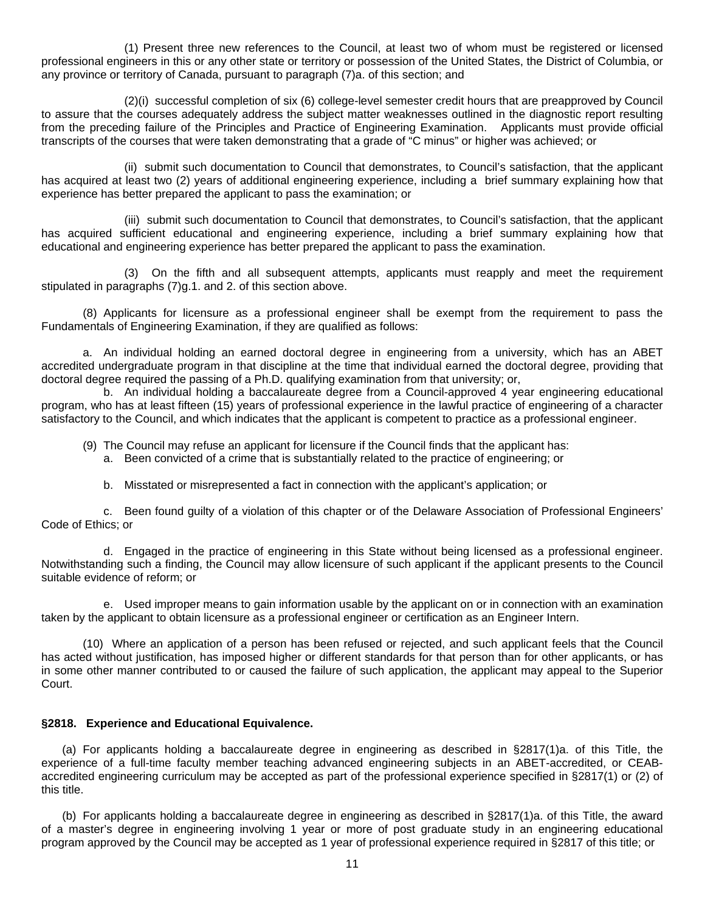(1) Present three new references to the Council, at least two of whom must be registered or licensed professional engineers in this or any other state or territory or possession of the United States, the District of Columbia, or any province or territory of Canada, pursuant to paragraph (7)a. of this section; and

 (2)(i) successful completion of six (6) college-level semester credit hours that are preapproved by Council to assure that the courses adequately address the subject matter weaknesses outlined in the diagnostic report resulting from the preceding failure of the Principles and Practice of Engineering Examination. Applicants must provide official transcripts of the courses that were taken demonstrating that a grade of "C minus" or higher was achieved; or

 (ii) submit such documentation to Council that demonstrates, to Council's satisfaction, that the applicant has acquired at least two (2) years of additional engineering experience, including a brief summary explaining how that experience has better prepared the applicant to pass the examination; or

 (iii) submit such documentation to Council that demonstrates, to Council's satisfaction, that the applicant has acquired sufficient educational and engineering experience, including a brief summary explaining how that educational and engineering experience has better prepared the applicant to pass the examination.

 (3) On the fifth and all subsequent attempts, applicants must reapply and meet the requirement stipulated in paragraphs (7)g.1. and 2. of this section above.

 (8) Applicants for licensure as a professional engineer shall be exempt from the requirement to pass the Fundamentals of Engineering Examination, if they are qualified as follows:

a. An individual holding an earned doctoral degree in engineering from a university, which has an ABET accredited undergraduate program in that discipline at the time that individual earned the doctoral degree, providing that doctoral degree required the passing of a Ph.D. qualifying examination from that university; or,

 b. An individual holding a baccalaureate degree from a Council-approved 4 year engineering educational program, who has at least fifteen (15) years of professional experience in the lawful practice of engineering of a character satisfactory to the Council, and which indicates that the applicant is competent to practice as a professional engineer.

- (9) The Council may refuse an applicant for licensure if the Council finds that the applicant has:
	- a. Been convicted of a crime that is substantially related to the practice of engineering; or
	- b. Misstated or misrepresented a fact in connection with the applicant's application; or

 c. Been found guilty of a violation of this chapter or of the Delaware Association of Professional Engineers' Code of Ethics; or

 d. Engaged in the practice of engineering in this State without being licensed as a professional engineer. Notwithstanding such a finding, the Council may allow licensure of such applicant if the applicant presents to the Council suitable evidence of reform; or

 e. Used improper means to gain information usable by the applicant on or in connection with an examination taken by the applicant to obtain licensure as a professional engineer or certification as an Engineer Intern.

 (10) Where an application of a person has been refused or rejected, and such applicant feels that the Council has acted without justification, has imposed higher or different standards for that person than for other applicants, or has in some other manner contributed to or caused the failure of such application, the applicant may appeal to the Superior Court.

## **§2818. Experience and Educational Equivalence.**

(a) For applicants holding a baccalaureate degree in engineering as described in §2817(1)a. of this Title, the experience of a full-time faculty member teaching advanced engineering subjects in an ABET-accredited, or CEABaccredited engineering curriculum may be accepted as part of the professional experience specified in §2817(1) or (2) of this title.

 (b) For applicants holding a baccalaureate degree in engineering as described in §2817(1)a. of this Title, the award of a master's degree in engineering involving 1 year or more of post graduate study in an engineering educational program approved by the Council may be accepted as 1 year of professional experience required in §2817 of this title; or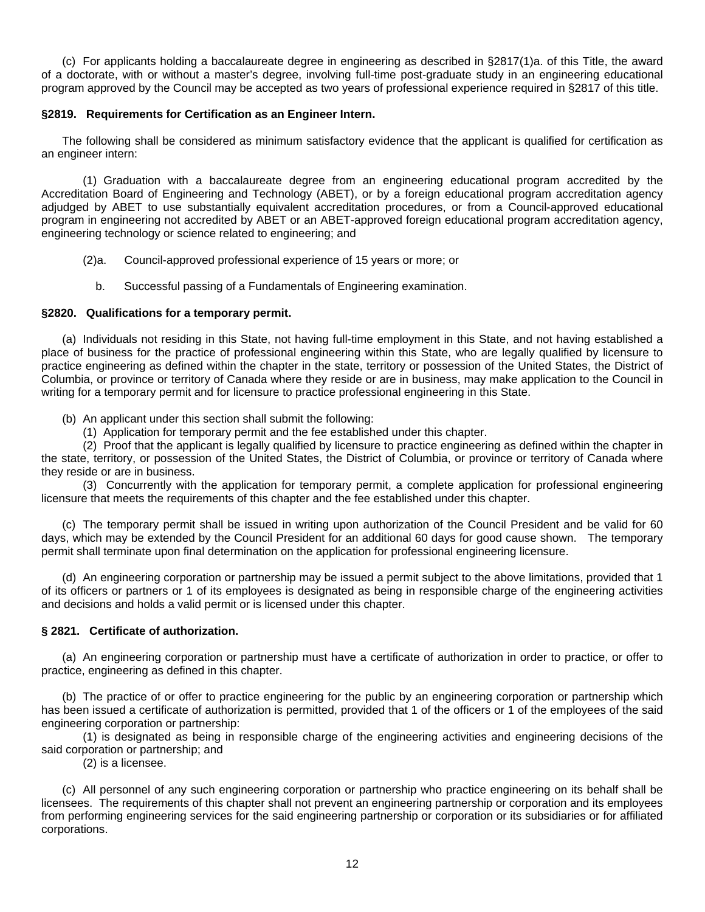(c) For applicants holding a baccalaureate degree in engineering as described in §2817(1)a. of this Title, the award of a doctorate, with or without a master's degree, involving full-time post-graduate study in an engineering educational program approved by the Council may be accepted as two years of professional experience required in §2817 of this title.

# **§2819. Requirements for Certification as an Engineer Intern.**

The following shall be considered as minimum satisfactory evidence that the applicant is qualified for certification as an engineer intern:

 (1) Graduation with a baccalaureate degree from an engineering educational program accredited by the Accreditation Board of Engineering and Technology (ABET), or by a foreign educational program accreditation agency adjudged by ABET to use substantially equivalent accreditation procedures, or from a Council-approved educational program in engineering not accredited by ABET or an ABET-approved foreign educational program accreditation agency, engineering technology or science related to engineering; and

- (2)a. Council-approved professional experience of 15 years or more; or
	- b. Successful passing of a Fundamentals of Engineering examination.

# **§2820. Qualifications for a temporary permit.**

(a) Individuals not residing in this State, not having full-time employment in this State, and not having established a place of business for the practice of professional engineering within this State, who are legally qualified by licensure to practice engineering as defined within the chapter in the state, territory or possession of the United States, the District of Columbia, or province or territory of Canada where they reside or are in business, may make application to the Council in writing for a temporary permit and for licensure to practice professional engineering in this State.

- (b) An applicant under this section shall submit the following:
	- (1) Application for temporary permit and the fee established under this chapter.

 (2) Proof that the applicant is legally qualified by licensure to practice engineering as defined within the chapter in the state, territory, or possession of the United States, the District of Columbia, or province or territory of Canada where they reside or are in business.

 (3) Concurrently with the application for temporary permit, a complete application for professional engineering licensure that meets the requirements of this chapter and the fee established under this chapter.

(c) The temporary permit shall be issued in writing upon authorization of the Council President and be valid for 60 days, which may be extended by the Council President for an additional 60 days for good cause shown. The temporary permit shall terminate upon final determination on the application for professional engineering licensure.

(d) An engineering corporation or partnership may be issued a permit subject to the above limitations, provided that 1 of its officers or partners or 1 of its employees is designated as being in responsible charge of the engineering activities and decisions and holds a valid permit or is licensed under this chapter.

## **§ 2821. Certificate of authorization.**

(a) An engineering corporation or partnership must have a certificate of authorization in order to practice, or offer to practice, engineering as defined in this chapter.

(b) The practice of or offer to practice engineering for the public by an engineering corporation or partnership which has been issued a certificate of authorization is permitted, provided that 1 of the officers or 1 of the employees of the said engineering corporation or partnership:

 (1) is designated as being in responsible charge of the engineering activities and engineering decisions of the said corporation or partnership; and

(2) is a licensee.

 (c) All personnel of any such engineering corporation or partnership who practice engineering on its behalf shall be licensees. The requirements of this chapter shall not prevent an engineering partnership or corporation and its employees from performing engineering services for the said engineering partnership or corporation or its subsidiaries or for affiliated corporations.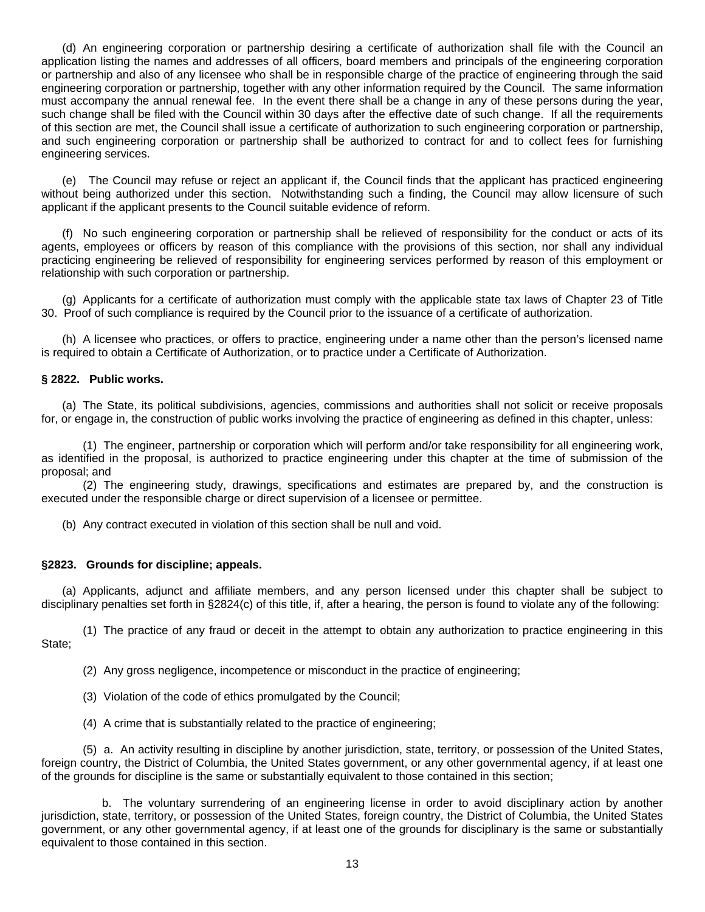(d) An engineering corporation or partnership desiring a certificate of authorization shall file with the Council an application listing the names and addresses of all officers, board members and principals of the engineering corporation or partnership and also of any licensee who shall be in responsible charge of the practice of engineering through the said engineering corporation or partnership, together with any other information required by the Council. The same information must accompany the annual renewal fee. In the event there shall be a change in any of these persons during the year, such change shall be filed with the Council within 30 days after the effective date of such change. If all the requirements of this section are met, the Council shall issue a certificate of authorization to such engineering corporation or partnership, and such engineering corporation or partnership shall be authorized to contract for and to collect fees for furnishing engineering services.

(e) The Council may refuse or reject an applicant if, the Council finds that the applicant has practiced engineering without being authorized under this section. Notwithstanding such a finding, the Council may allow licensure of such applicant if the applicant presents to the Council suitable evidence of reform.

(f) No such engineering corporation or partnership shall be relieved of responsibility for the conduct or acts of its agents, employees or officers by reason of this compliance with the provisions of this section, nor shall any individual practicing engineering be relieved of responsibility for engineering services performed by reason of this employment or relationship with such corporation or partnership.

(g) Applicants for a certificate of authorization must comply with the applicable state tax laws of Chapter 23 of Title 30. Proof of such compliance is required by the Council prior to the issuance of a certificate of authorization.

(h) A licensee who practices, or offers to practice, engineering under a name other than the person's licensed name is required to obtain a Certificate of Authorization, or to practice under a Certificate of Authorization.

# **§ 2822. Public works.**

(a) The State, its political subdivisions, agencies, commissions and authorities shall not solicit or receive proposals for, or engage in, the construction of public works involving the practice of engineering as defined in this chapter, unless:

 (1) The engineer, partnership or corporation which will perform and/or take responsibility for all engineering work, as identified in the proposal, is authorized to practice engineering under this chapter at the time of submission of the proposal; and

 (2) The engineering study, drawings, specifications and estimates are prepared by, and the construction is executed under the responsible charge or direct supervision of a licensee or permittee.

(b) Any contract executed in violation of this section shall be null and void.

## **§2823. Grounds for discipline; appeals.**

(a) Applicants, adjunct and affiliate members, and any person licensed under this chapter shall be subject to disciplinary penalties set forth in §2824(c) of this title, if, after a hearing, the person is found to violate any of the following:

(1) The practice of any fraud or deceit in the attempt to obtain any authorization to practice engineering in this State;

(2) Any gross negligence, incompetence or misconduct in the practice of engineering;

(3) Violation of the code of ethics promulgated by the Council;

(4) A crime that is substantially related to the practice of engineering;

(5) a. An activity resulting in discipline by another jurisdiction, state, territory, or possession of the United States, foreign country, the District of Columbia, the United States government, or any other governmental agency, if at least one of the grounds for discipline is the same or substantially equivalent to those contained in this section;

 b. The voluntary surrendering of an engineering license in order to avoid disciplinary action by another jurisdiction, state, territory, or possession of the United States, foreign country, the District of Columbia, the United States government, or any other governmental agency, if at least one of the grounds for disciplinary is the same or substantially equivalent to those contained in this section.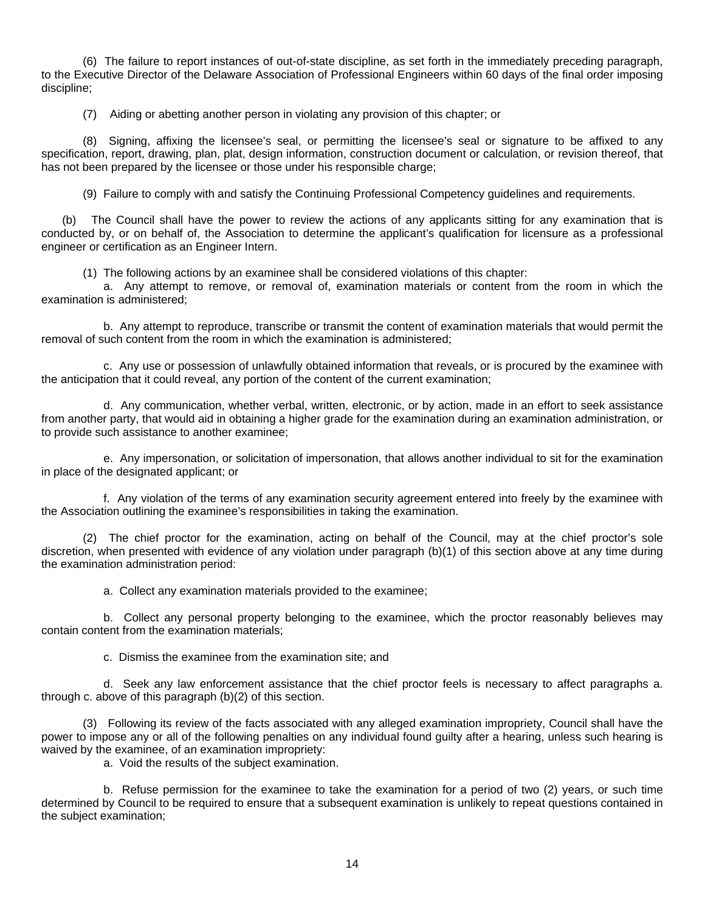(6) The failure to report instances of out-of-state discipline, as set forth in the immediately preceding paragraph, to the Executive Director of the Delaware Association of Professional Engineers within 60 days of the final order imposing discipline;

(7) Aiding or abetting another person in violating any provision of this chapter; or

(8) Signing, affixing the licensee's seal, or permitting the licensee's seal or signature to be affixed to any specification, report, drawing, plan, plat, design information, construction document or calculation, or revision thereof, that has not been prepared by the licensee or those under his responsible charge;

(9) Failure to comply with and satisfy the Continuing Professional Competency guidelines and requirements.

 (b) The Council shall have the power to review the actions of any applicants sitting for any examination that is conducted by, or on behalf of, the Association to determine the applicant's qualification for licensure as a professional engineer or certification as an Engineer Intern.

(1) The following actions by an examinee shall be considered violations of this chapter:

 a. Any attempt to remove, or removal of, examination materials or content from the room in which the examination is administered;

 b. Any attempt to reproduce, transcribe or transmit the content of examination materials that would permit the removal of such content from the room in which the examination is administered;

 c. Any use or possession of unlawfully obtained information that reveals, or is procured by the examinee with the anticipation that it could reveal, any portion of the content of the current examination;

 d. Any communication, whether verbal, written, electronic, or by action, made in an effort to seek assistance from another party, that would aid in obtaining a higher grade for the examination during an examination administration, or to provide such assistance to another examinee;

 e. Any impersonation, or solicitation of impersonation, that allows another individual to sit for the examination in place of the designated applicant; or

 f. Any violation of the terms of any examination security agreement entered into freely by the examinee with the Association outlining the examinee's responsibilities in taking the examination.

 (2) The chief proctor for the examination, acting on behalf of the Council, may at the chief proctor's sole discretion, when presented with evidence of any violation under paragraph (b)(1) of this section above at any time during the examination administration period:

a. Collect any examination materials provided to the examinee;

 b. Collect any personal property belonging to the examinee, which the proctor reasonably believes may contain content from the examination materials;

c. Dismiss the examinee from the examination site; and

 d. Seek any law enforcement assistance that the chief proctor feels is necessary to affect paragraphs a. through c. above of this paragraph (b)(2) of this section.

 (3) Following its review of the facts associated with any alleged examination impropriety, Council shall have the power to impose any or all of the following penalties on any individual found guilty after a hearing, unless such hearing is waived by the examinee, of an examination impropriety:

a. Void the results of the subject examination.

 b. Refuse permission for the examinee to take the examination for a period of two (2) years, or such time determined by Council to be required to ensure that a subsequent examination is unlikely to repeat questions contained in the subject examination;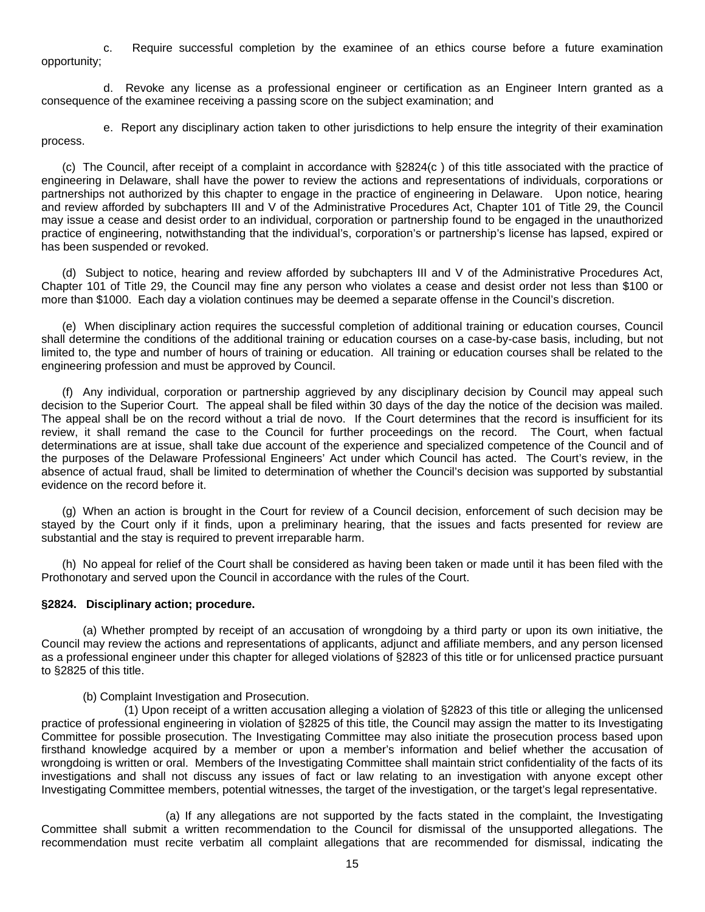c. Require successful completion by the examinee of an ethics course before a future examination opportunity;

 d. Revoke any license as a professional engineer or certification as an Engineer Intern granted as a consequence of the examinee receiving a passing score on the subject examination; and

 e. Report any disciplinary action taken to other jurisdictions to help ensure the integrity of their examination process.

 (c) The Council, after receipt of a complaint in accordance with §2824(c ) of this title associated with the practice of engineering in Delaware, shall have the power to review the actions and representations of individuals, corporations or partnerships not authorized by this chapter to engage in the practice of engineering in Delaware. Upon notice, hearing and review afforded by subchapters III and V of the Administrative Procedures Act, Chapter 101 of Title 29, the Council may issue a cease and desist order to an individual, corporation or partnership found to be engaged in the unauthorized practice of engineering, notwithstanding that the individual's, corporation's or partnership's license has lapsed, expired or has been suspended or revoked.

 (d) Subject to notice, hearing and review afforded by subchapters III and V of the Administrative Procedures Act, Chapter 101 of Title 29, the Council may fine any person who violates a cease and desist order not less than \$100 or more than \$1000. Each day a violation continues may be deemed a separate offense in the Council's discretion.

 (e) When disciplinary action requires the successful completion of additional training or education courses, Council shall determine the conditions of the additional training or education courses on a case-by-case basis, including, but not limited to, the type and number of hours of training or education. All training or education courses shall be related to the engineering profession and must be approved by Council.

(f) Any individual, corporation or partnership aggrieved by any disciplinary decision by Council may appeal such decision to the Superior Court. The appeal shall be filed within 30 days of the day the notice of the decision was mailed. The appeal shall be on the record without a trial de novo. If the Court determines that the record is insufficient for its review, it shall remand the case to the Council for further proceedings on the record. The Court, when factual determinations are at issue, shall take due account of the experience and specialized competence of the Council and of the purposes of the Delaware Professional Engineers' Act under which Council has acted. The Court's review, in the absence of actual fraud, shall be limited to determination of whether the Council's decision was supported by substantial evidence on the record before it.

(g) When an action is brought in the Court for review of a Council decision, enforcement of such decision may be stayed by the Court only if it finds, upon a preliminary hearing, that the issues and facts presented for review are substantial and the stay is required to prevent irreparable harm.

(h) No appeal for relief of the Court shall be considered as having been taken or made until it has been filed with the Prothonotary and served upon the Council in accordance with the rules of the Court.

## **§2824. Disciplinary action; procedure.**

(a) Whether prompted by receipt of an accusation of wrongdoing by a third party or upon its own initiative, the Council may review the actions and representations of applicants, adjunct and affiliate members, and any person licensed as a professional engineer under this chapter for alleged violations of §2823 of this title or for unlicensed practice pursuant to §2825 of this title.

(b) Complaint Investigation and Prosecution.

 (1) Upon receipt of a written accusation alleging a violation of §2823 of this title or alleging the unlicensed practice of professional engineering in violation of §2825 of this title, the Council may assign the matter to its Investigating Committee for possible prosecution. The Investigating Committee may also initiate the prosecution process based upon firsthand knowledge acquired by a member or upon a member's information and belief whether the accusation of wrongdoing is written or oral. Members of the Investigating Committee shall maintain strict confidentiality of the facts of its investigations and shall not discuss any issues of fact or law relating to an investigation with anyone except other Investigating Committee members, potential witnesses, the target of the investigation, or the target's legal representative.

 (a) If any allegations are not supported by the facts stated in the complaint, the Investigating Committee shall submit a written recommendation to the Council for dismissal of the unsupported allegations. The recommendation must recite verbatim all complaint allegations that are recommended for dismissal, indicating the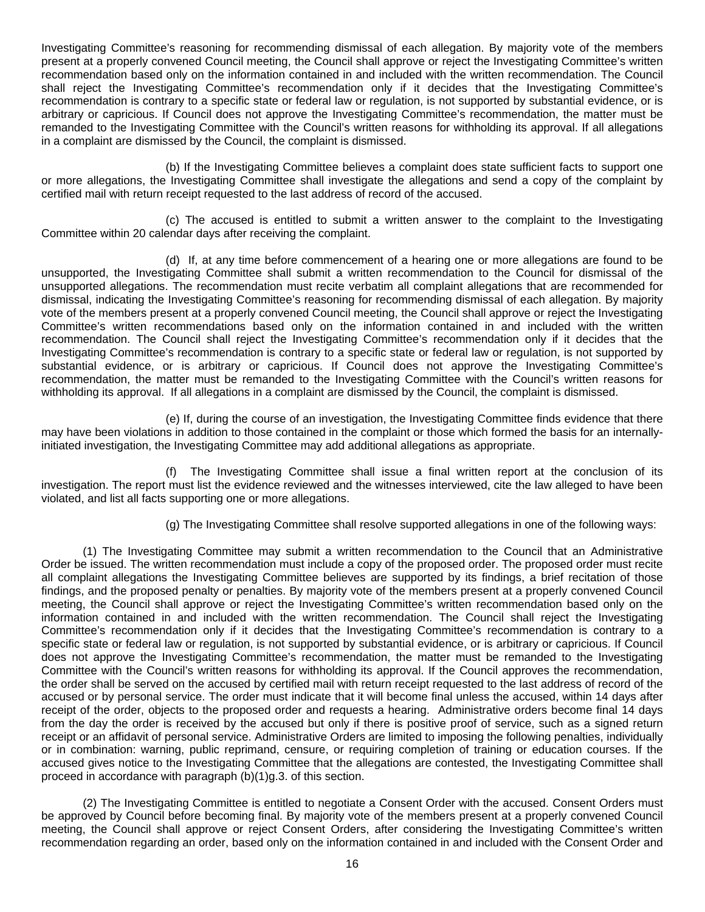Investigating Committee's reasoning for recommending dismissal of each allegation. By majority vote of the members present at a properly convened Council meeting, the Council shall approve or reject the Investigating Committee's written recommendation based only on the information contained in and included with the written recommendation. The Council shall reject the Investigating Committee's recommendation only if it decides that the Investigating Committee's recommendation is contrary to a specific state or federal law or regulation, is not supported by substantial evidence, or is arbitrary or capricious. If Council does not approve the Investigating Committee's recommendation, the matter must be remanded to the Investigating Committee with the Council's written reasons for withholding its approval. If all allegations in a complaint are dismissed by the Council, the complaint is dismissed.

 (b) If the Investigating Committee believes a complaint does state sufficient facts to support one or more allegations, the Investigating Committee shall investigate the allegations and send a copy of the complaint by certified mail with return receipt requested to the last address of record of the accused.

 (c) The accused is entitled to submit a written answer to the complaint to the Investigating Committee within 20 calendar days after receiving the complaint.

 (d) If, at any time before commencement of a hearing one or more allegations are found to be unsupported, the Investigating Committee shall submit a written recommendation to the Council for dismissal of the unsupported allegations. The recommendation must recite verbatim all complaint allegations that are recommended for dismissal, indicating the Investigating Committee's reasoning for recommending dismissal of each allegation. By majority vote of the members present at a properly convened Council meeting, the Council shall approve or reject the Investigating Committee's written recommendations based only on the information contained in and included with the written recommendation. The Council shall reject the Investigating Committee's recommendation only if it decides that the Investigating Committee's recommendation is contrary to a specific state or federal law or regulation, is not supported by substantial evidence, or is arbitrary or capricious. If Council does not approve the Investigating Committee's recommendation, the matter must be remanded to the Investigating Committee with the Council's written reasons for withholding its approval. If all allegations in a complaint are dismissed by the Council, the complaint is dismissed.

 (e) If, during the course of an investigation, the Investigating Committee finds evidence that there may have been violations in addition to those contained in the complaint or those which formed the basis for an internallyinitiated investigation, the Investigating Committee may add additional allegations as appropriate.

 (f) The Investigating Committee shall issue a final written report at the conclusion of its investigation. The report must list the evidence reviewed and the witnesses interviewed, cite the law alleged to have been violated, and list all facts supporting one or more allegations.

(g) The Investigating Committee shall resolve supported allegations in one of the following ways:

(1) The Investigating Committee may submit a written recommendation to the Council that an Administrative Order be issued. The written recommendation must include a copy of the proposed order. The proposed order must recite all complaint allegations the Investigating Committee believes are supported by its findings, a brief recitation of those findings, and the proposed penalty or penalties. By majority vote of the members present at a properly convened Council meeting, the Council shall approve or reject the Investigating Committee's written recommendation based only on the information contained in and included with the written recommendation. The Council shall reject the Investigating Committee's recommendation only if it decides that the Investigating Committee's recommendation is contrary to a specific state or federal law or regulation, is not supported by substantial evidence, or is arbitrary or capricious. If Council does not approve the Investigating Committee's recommendation, the matter must be remanded to the Investigating Committee with the Council's written reasons for withholding its approval. If the Council approves the recommendation, the order shall be served on the accused by certified mail with return receipt requested to the last address of record of the accused or by personal service. The order must indicate that it will become final unless the accused, within 14 days after receipt of the order, objects to the proposed order and requests a hearing. Administrative orders become final 14 days from the day the order is received by the accused but only if there is positive proof of service, such as a signed return receipt or an affidavit of personal service. Administrative Orders are limited to imposing the following penalties, individually or in combination: warning, public reprimand, censure, or requiring completion of training or education courses. If the accused gives notice to the Investigating Committee that the allegations are contested, the Investigating Committee shall proceed in accordance with paragraph (b)(1)g.3. of this section.

(2) The Investigating Committee is entitled to negotiate a Consent Order with the accused. Consent Orders must be approved by Council before becoming final. By majority vote of the members present at a properly convened Council meeting, the Council shall approve or reject Consent Orders, after considering the Investigating Committee's written recommendation regarding an order, based only on the information contained in and included with the Consent Order and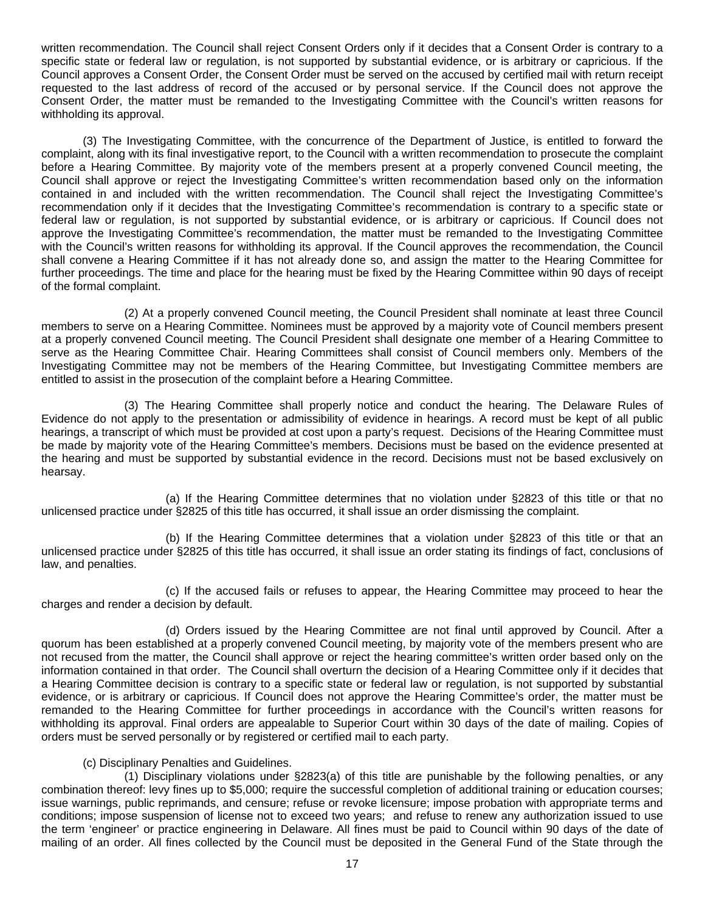written recommendation. The Council shall reject Consent Orders only if it decides that a Consent Order is contrary to a specific state or federal law or regulation, is not supported by substantial evidence, or is arbitrary or capricious. If the Council approves a Consent Order, the Consent Order must be served on the accused by certified mail with return receipt requested to the last address of record of the accused or by personal service. If the Council does not approve the Consent Order, the matter must be remanded to the Investigating Committee with the Council's written reasons for withholding its approval.

(3) The Investigating Committee, with the concurrence of the Department of Justice, is entitled to forward the complaint, along with its final investigative report, to the Council with a written recommendation to prosecute the complaint before a Hearing Committee. By majority vote of the members present at a properly convened Council meeting, the Council shall approve or reject the Investigating Committee's written recommendation based only on the information contained in and included with the written recommendation. The Council shall reject the Investigating Committee's recommendation only if it decides that the Investigating Committee's recommendation is contrary to a specific state or federal law or regulation, is not supported by substantial evidence, or is arbitrary or capricious. If Council does not approve the Investigating Committee's recommendation, the matter must be remanded to the Investigating Committee with the Council's written reasons for withholding its approval. If the Council approves the recommendation, the Council shall convene a Hearing Committee if it has not already done so, and assign the matter to the Hearing Committee for further proceedings. The time and place for the hearing must be fixed by the Hearing Committee within 90 days of receipt of the formal complaint.

 (2) At a properly convened Council meeting, the Council President shall nominate at least three Council members to serve on a Hearing Committee. Nominees must be approved by a majority vote of Council members present at a properly convened Council meeting. The Council President shall designate one member of a Hearing Committee to serve as the Hearing Committee Chair. Hearing Committees shall consist of Council members only. Members of the Investigating Committee may not be members of the Hearing Committee, but Investigating Committee members are entitled to assist in the prosecution of the complaint before a Hearing Committee.

 (3) The Hearing Committee shall properly notice and conduct the hearing. The Delaware Rules of Evidence do not apply to the presentation or admissibility of evidence in hearings. A record must be kept of all public hearings, a transcript of which must be provided at cost upon a party's request. Decisions of the Hearing Committee must be made by majority vote of the Hearing Committee's members. Decisions must be based on the evidence presented at the hearing and must be supported by substantial evidence in the record. Decisions must not be based exclusively on hearsay.

 (a) If the Hearing Committee determines that no violation under §2823 of this title or that no unlicensed practice under §2825 of this title has occurred, it shall issue an order dismissing the complaint.

 (b) If the Hearing Committee determines that a violation under §2823 of this title or that an unlicensed practice under §2825 of this title has occurred, it shall issue an order stating its findings of fact, conclusions of law, and penalties.

 (c) If the accused fails or refuses to appear, the Hearing Committee may proceed to hear the charges and render a decision by default.

 (d) Orders issued by the Hearing Committee are not final until approved by Council. After a quorum has been established at a properly convened Council meeting, by majority vote of the members present who are not recused from the matter, the Council shall approve or reject the hearing committee's written order based only on the information contained in that order. The Council shall overturn the decision of a Hearing Committee only if it decides that a Hearing Committee decision is contrary to a specific state or federal law or regulation, is not supported by substantial evidence, or is arbitrary or capricious. If Council does not approve the Hearing Committee's order, the matter must be remanded to the Hearing Committee for further proceedings in accordance with the Council's written reasons for withholding its approval. Final orders are appealable to Superior Court within 30 days of the date of mailing. Copies of orders must be served personally or by registered or certified mail to each party.

## (c) Disciplinary Penalties and Guidelines.

 (1) Disciplinary violations under §2823(a) of this title are punishable by the following penalties, or any combination thereof: levy fines up to \$5,000; require the successful completion of additional training or education courses; issue warnings, public reprimands, and censure; refuse or revoke licensure; impose probation with appropriate terms and conditions; impose suspension of license not to exceed two years; and refuse to renew any authorization issued to use the term 'engineer' or practice engineering in Delaware. All fines must be paid to Council within 90 days of the date of mailing of an order. All fines collected by the Council must be deposited in the General Fund of the State through the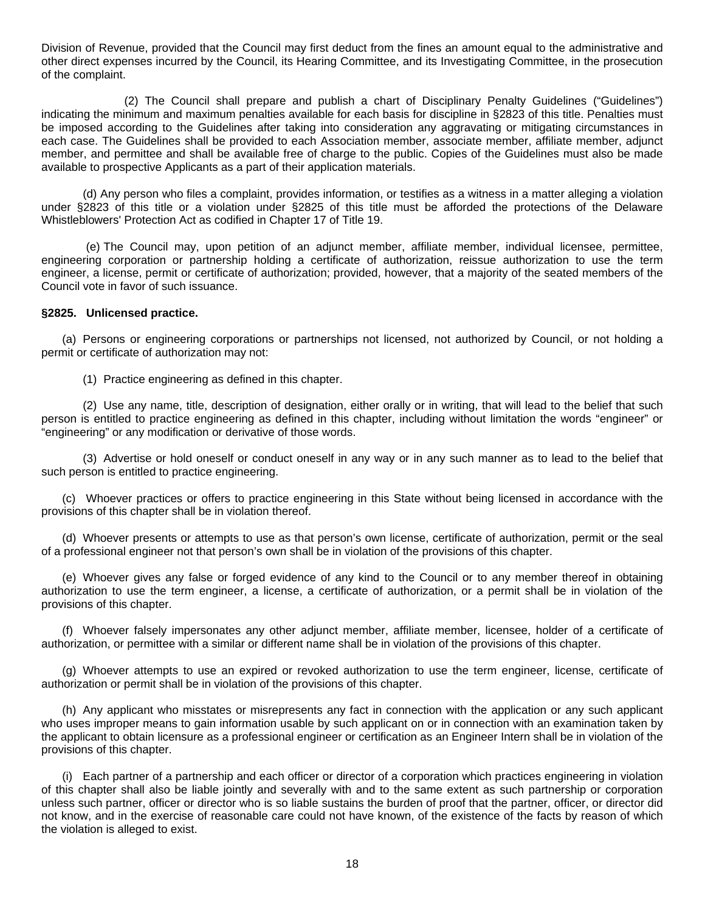Division of Revenue, provided that the Council may first deduct from the fines an amount equal to the administrative and other direct expenses incurred by the Council, its Hearing Committee, and its Investigating Committee, in the prosecution of the complaint.

 (2) The Council shall prepare and publish a chart of Disciplinary Penalty Guidelines ("Guidelines") indicating the minimum and maximum penalties available for each basis for discipline in §2823 of this title. Penalties must be imposed according to the Guidelines after taking into consideration any aggravating or mitigating circumstances in each case. The Guidelines shall be provided to each Association member, associate member, affiliate member, adjunct member, and permittee and shall be available free of charge to the public. Copies of the Guidelines must also be made available to prospective Applicants as a part of their application materials.

(d) Any person who files a complaint, provides information, or testifies as a witness in a matter alleging a violation under §2823 of this title or a violation under §2825 of this title must be afforded the protections of the Delaware Whistleblowers' Protection Act as codified in Chapter 17 of Title 19.

 (e) The Council may, upon petition of an adjunct member, affiliate member, individual licensee, permittee, engineering corporation or partnership holding a certificate of authorization, reissue authorization to use the term engineer, a license, permit or certificate of authorization; provided, however, that a majority of the seated members of the Council vote in favor of such issuance.

#### **§2825. Unlicensed practice.**

(a) Persons or engineering corporations or partnerships not licensed, not authorized by Council, or not holding a permit or certificate of authorization may not:

(1) Practice engineering as defined in this chapter.

 (2) Use any name, title, description of designation, either orally or in writing, that will lead to the belief that such person is entitled to practice engineering as defined in this chapter, including without limitation the words "engineer" or "engineering" or any modification or derivative of those words.

 (3) Advertise or hold oneself or conduct oneself in any way or in any such manner as to lead to the belief that such person is entitled to practice engineering.

(c) Whoever practices or offers to practice engineering in this State without being licensed in accordance with the provisions of this chapter shall be in violation thereof.

(d) Whoever presents or attempts to use as that person's own license, certificate of authorization, permit or the seal of a professional engineer not that person's own shall be in violation of the provisions of this chapter.

(e) Whoever gives any false or forged evidence of any kind to the Council or to any member thereof in obtaining authorization to use the term engineer, a license, a certificate of authorization, or a permit shall be in violation of the provisions of this chapter.

(f) Whoever falsely impersonates any other adjunct member, affiliate member, licensee, holder of a certificate of authorization, or permittee with a similar or different name shall be in violation of the provisions of this chapter.

(g) Whoever attempts to use an expired or revoked authorization to use the term engineer, license, certificate of authorization or permit shall be in violation of the provisions of this chapter.

(h) Any applicant who misstates or misrepresents any fact in connection with the application or any such applicant who uses improper means to gain information usable by such applicant on or in connection with an examination taken by the applicant to obtain licensure as a professional engineer or certification as an Engineer Intern shall be in violation of the provisions of this chapter.

(i) Each partner of a partnership and each officer or director of a corporation which practices engineering in violation of this chapter shall also be liable jointly and severally with and to the same extent as such partnership or corporation unless such partner, officer or director who is so liable sustains the burden of proof that the partner, officer, or director did not know, and in the exercise of reasonable care could not have known, of the existence of the facts by reason of which the violation is alleged to exist.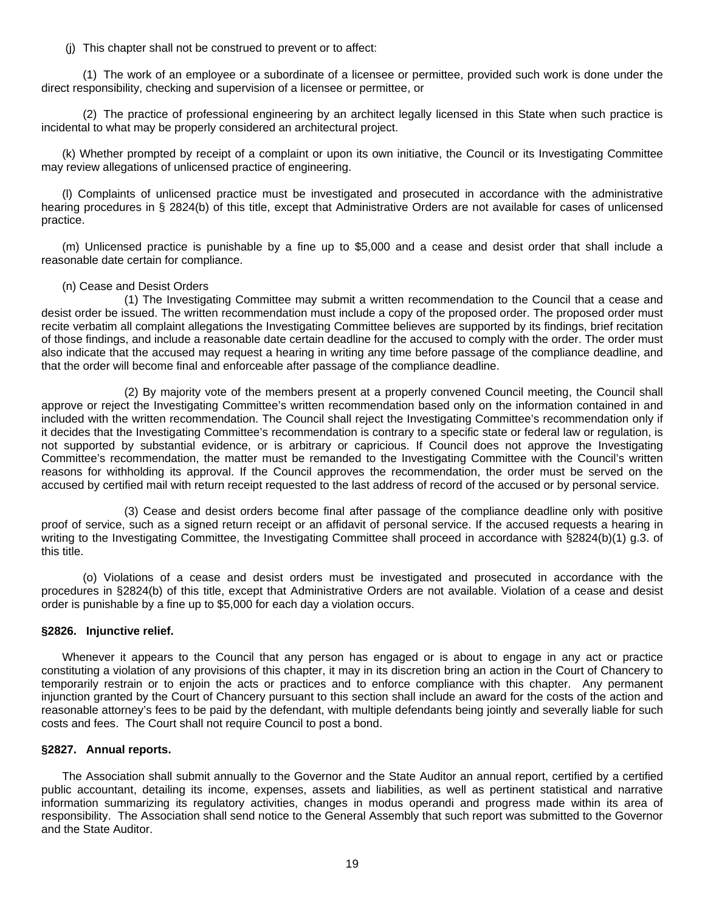(j) This chapter shall not be construed to prevent or to affect:

 (1) The work of an employee or a subordinate of a licensee or permittee, provided such work is done under the direct responsibility, checking and supervision of a licensee or permittee, or

 (2) The practice of professional engineering by an architect legally licensed in this State when such practice is incidental to what may be properly considered an architectural project.

(k) Whether prompted by receipt of a complaint or upon its own initiative, the Council or its Investigating Committee may review allegations of unlicensed practice of engineering.

(l) Complaints of unlicensed practice must be investigated and prosecuted in accordance with the administrative hearing procedures in § 2824(b) of this title, except that Administrative Orders are not available for cases of unlicensed practice.

(m) Unlicensed practice is punishable by a fine up to \$5,000 and a cease and desist order that shall include a reasonable date certain for compliance.

## (n) Cease and Desist Orders

 (1) The Investigating Committee may submit a written recommendation to the Council that a cease and desist order be issued. The written recommendation must include a copy of the proposed order. The proposed order must recite verbatim all complaint allegations the Investigating Committee believes are supported by its findings, brief recitation of those findings, and include a reasonable date certain deadline for the accused to comply with the order. The order must also indicate that the accused may request a hearing in writing any time before passage of the compliance deadline, and that the order will become final and enforceable after passage of the compliance deadline.

 (2) By majority vote of the members present at a properly convened Council meeting, the Council shall approve or reject the Investigating Committee's written recommendation based only on the information contained in and included with the written recommendation. The Council shall reject the Investigating Committee's recommendation only if it decides that the Investigating Committee's recommendation is contrary to a specific state or federal law or regulation, is not supported by substantial evidence, or is arbitrary or capricious. If Council does not approve the Investigating Committee's recommendation, the matter must be remanded to the Investigating Committee with the Council's written reasons for withholding its approval. If the Council approves the recommendation, the order must be served on the accused by certified mail with return receipt requested to the last address of record of the accused or by personal service.

 (3) Cease and desist orders become final after passage of the compliance deadline only with positive proof of service, such as a signed return receipt or an affidavit of personal service. If the accused requests a hearing in writing to the Investigating Committee, the Investigating Committee shall proceed in accordance with §2824(b)(1) g.3. of this title.

(o) Violations of a cease and desist orders must be investigated and prosecuted in accordance with the procedures in §2824(b) of this title, except that Administrative Orders are not available. Violation of a cease and desist order is punishable by a fine up to \$5,000 for each day a violation occurs.

## **§2826. Injunctive relief.**

Whenever it appears to the Council that any person has engaged or is about to engage in any act or practice constituting a violation of any provisions of this chapter, it may in its discretion bring an action in the Court of Chancery to temporarily restrain or to enjoin the acts or practices and to enforce compliance with this chapter. Any permanent injunction granted by the Court of Chancery pursuant to this section shall include an award for the costs of the action and reasonable attorney's fees to be paid by the defendant, with multiple defendants being jointly and severally liable for such costs and fees. The Court shall not require Council to post a bond.

## **§2827. Annual reports.**

The Association shall submit annually to the Governor and the State Auditor an annual report, certified by a certified public accountant, detailing its income, expenses, assets and liabilities, as well as pertinent statistical and narrative information summarizing its regulatory activities, changes in modus operandi and progress made within its area of responsibility. The Association shall send notice to the General Assembly that such report was submitted to the Governor and the State Auditor.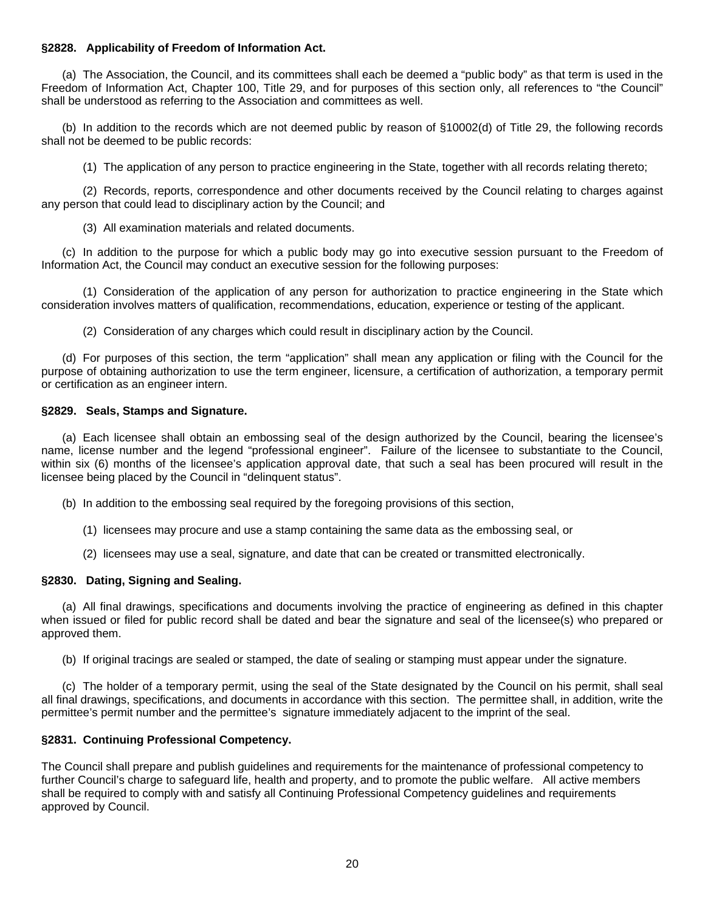# **§2828. Applicability of Freedom of Information Act.**

(a) The Association, the Council, and its committees shall each be deemed a "public body" as that term is used in the Freedom of Information Act, Chapter 100, Title 29, and for purposes of this section only, all references to "the Council" shall be understood as referring to the Association and committees as well.

(b) In addition to the records which are not deemed public by reason of §10002(d) of Title 29, the following records shall not be deemed to be public records:

(1) The application of any person to practice engineering in the State, together with all records relating thereto;

(2) Records, reports, correspondence and other documents received by the Council relating to charges against any person that could lead to disciplinary action by the Council; and

(3) All examination materials and related documents.

(c) In addition to the purpose for which a public body may go into executive session pursuant to the Freedom of Information Act, the Council may conduct an executive session for the following purposes:

(1) Consideration of the application of any person for authorization to practice engineering in the State which consideration involves matters of qualification, recommendations, education, experience or testing of the applicant.

(2) Consideration of any charges which could result in disciplinary action by the Council.

(d) For purposes of this section, the term "application" shall mean any application or filing with the Council for the purpose of obtaining authorization to use the term engineer, licensure, a certification of authorization, a temporary permit or certification as an engineer intern.

# **§2829. Seals, Stamps and Signature.**

(a) Each licensee shall obtain an embossing seal of the design authorized by the Council, bearing the licensee's name, license number and the legend "professional engineer". Failure of the licensee to substantiate to the Council, within six (6) months of the licensee's application approval date, that such a seal has been procured will result in the licensee being placed by the Council in "delinquent status".

(b) In addition to the embossing seal required by the foregoing provisions of this section,

- (1) licensees may procure and use a stamp containing the same data as the embossing seal, or
- (2) licensees may use a seal, signature, and date that can be created or transmitted electronically.

# **§2830. Dating, Signing and Sealing.**

(a) All final drawings, specifications and documents involving the practice of engineering as defined in this chapter when issued or filed for public record shall be dated and bear the signature and seal of the licensee(s) who prepared or approved them.

(b) If original tracings are sealed or stamped, the date of sealing or stamping must appear under the signature.

(c) The holder of a temporary permit, using the seal of the State designated by the Council on his permit, shall seal all final drawings, specifications, and documents in accordance with this section. The permittee shall, in addition, write the permittee's permit number and the permittee's signature immediately adjacent to the imprint of the seal.

# **§2831. Continuing Professional Competency.**

The Council shall prepare and publish guidelines and requirements for the maintenance of professional competency to further Council's charge to safeguard life, health and property, and to promote the public welfare. All active members shall be required to comply with and satisfy all Continuing Professional Competency quidelines and requirements approved by Council.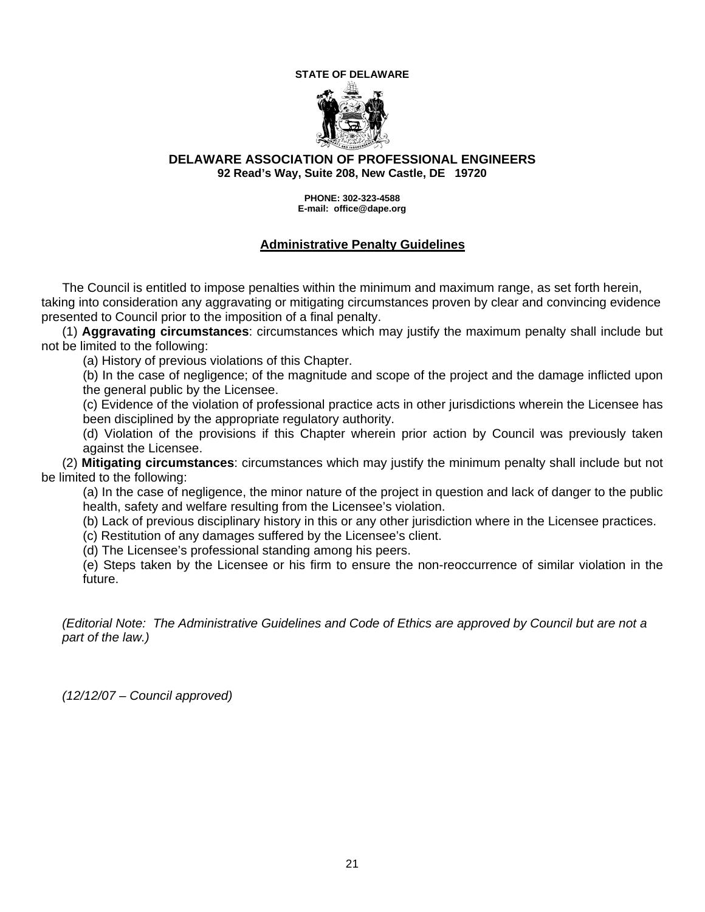#### **STATE OF DELAWARE**



# **DELAWARE ASSOCIATION OF PROFESSIONAL ENGINEERS 92 Read's Way, Suite 208, New Castle, DE 19720**

**PHONE: 302-323-4588 E-mail: office@dape.org**

# **Administrative Penalty Guidelines**

The Council is entitled to impose penalties within the minimum and maximum range, as set forth herein, taking into consideration any aggravating or mitigating circumstances proven by clear and convincing evidence presented to Council prior to the imposition of a final penalty.

(1) **Aggravating circumstances**: circumstances which may justify the maximum penalty shall include but not be limited to the following:

(a) History of previous violations of this Chapter.

(b) In the case of negligence; of the magnitude and scope of the project and the damage inflicted upon the general public by the Licensee.

(c) Evidence of the violation of professional practice acts in other jurisdictions wherein the Licensee has been disciplined by the appropriate regulatory authority.

(d) Violation of the provisions if this Chapter wherein prior action by Council was previously taken against the Licensee.

 (2) **Mitigating circumstances**: circumstances which may justify the minimum penalty shall include but not be limited to the following:

(a) In the case of negligence, the minor nature of the project in question and lack of danger to the public health, safety and welfare resulting from the Licensee's violation.

(b) Lack of previous disciplinary history in this or any other jurisdiction where in the Licensee practices.

(c) Restitution of any damages suffered by the Licensee's client.

(d) The Licensee's professional standing among his peers.

(e) Steps taken by the Licensee or his firm to ensure the non-reoccurrence of similar violation in the future.

*(Editorial Note: The Administrative Guidelines and Code of Ethics are approved by Council but are not a part of the law.)* 

*(12/12/07 – Council approved)*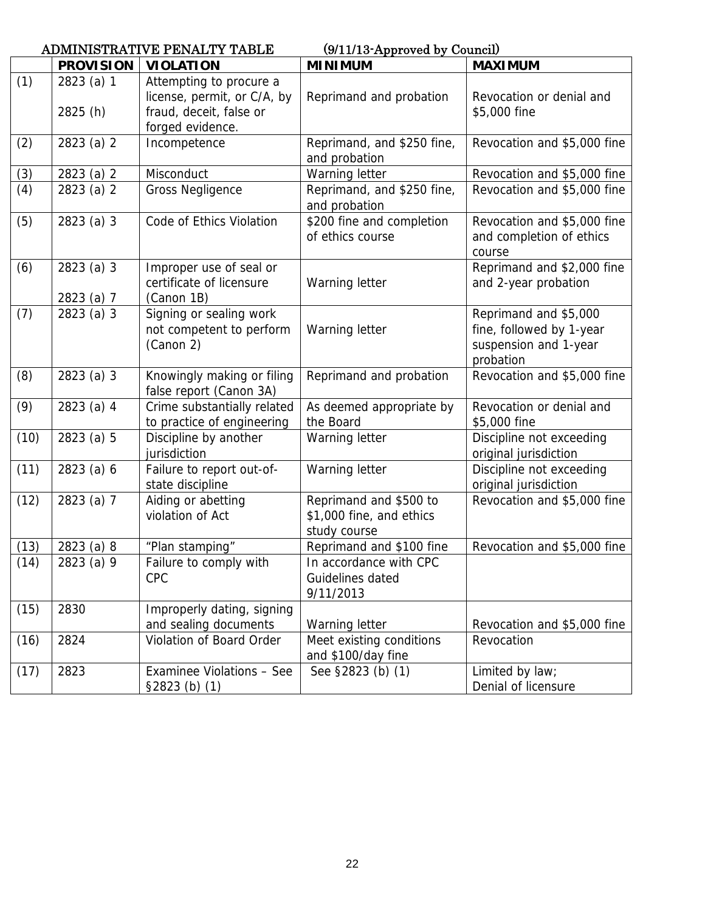|      |                          | <b>ADMINISTRATIVE PENALTY TABLE</b>                                                                   | (9/11/13-Approved by Council)                                      |                                                                                         |  |
|------|--------------------------|-------------------------------------------------------------------------------------------------------|--------------------------------------------------------------------|-----------------------------------------------------------------------------------------|--|
|      | <b>PROVISION</b>         | <b>VIOLATION</b>                                                                                      | <b>MINIMUM</b>                                                     | <b>MAXIMUM</b>                                                                          |  |
| (1)  | 2823 (a) 1<br>2825 (h)   | Attempting to procure a<br>license, permit, or C/A, by<br>fraud, deceit, false or<br>forged evidence. | Reprimand and probation                                            | Revocation or denial and<br>\$5,000 fine                                                |  |
| (2)  | 2823 (a) 2               | Incompetence                                                                                          | Reprimand, and \$250 fine,<br>and probation                        | Revocation and \$5,000 fine                                                             |  |
| (3)  | 2823 (a) 2               | Misconduct                                                                                            | Warning letter                                                     | Revocation and \$5,000 fine                                                             |  |
| (4)  | 2823 (a) 2               | <b>Gross Negligence</b>                                                                               | Reprimand, and \$250 fine,<br>and probation                        | Revocation and \$5,000 fine                                                             |  |
| (5)  | 2823 (a) 3               | Code of Ethics Violation                                                                              | \$200 fine and completion<br>of ethics course                      | Revocation and \$5,000 fine<br>and completion of ethics<br>course                       |  |
| (6)  | 2823 (a) 3<br>2823 (a) 7 | Improper use of seal or<br>certificate of licensure<br>(Canon 1B)                                     | Warning letter                                                     | Reprimand and \$2,000 fine<br>and 2-year probation                                      |  |
| (7)  | 2823 (a) 3               | Signing or sealing work<br>not competent to perform<br>(Canon 2)                                      | Warning letter                                                     | Reprimand and \$5,000<br>fine, followed by 1-year<br>suspension and 1-year<br>probation |  |
| (8)  | 2823 (a) 3               | Knowingly making or filing<br>false report (Canon 3A)                                                 | Reprimand and probation                                            | Revocation and \$5,000 fine                                                             |  |
| (9)  | 2823 (a) 4               | Crime substantially related<br>to practice of engineering                                             | As deemed appropriate by<br>the Board                              | Revocation or denial and<br>\$5,000 fine                                                |  |
| (10) | 2823 (a) 5               | Discipline by another<br>jurisdiction                                                                 | Warning letter                                                     | Discipline not exceeding<br>original jurisdiction                                       |  |
| (11) | 2823 (a) 6               | Failure to report out-of-<br>state discipline                                                         | Warning letter                                                     | Discipline not exceeding<br>original jurisdiction                                       |  |
| (12) | 2823 (a) 7               | Aiding or abetting<br>violation of Act                                                                | Reprimand and \$500 to<br>\$1,000 fine, and ethics<br>study course | Revocation and \$5,000 fine                                                             |  |
| (13) | 2823 (a) 8               | "Plan stamping"                                                                                       | Reprimand and \$100 fine                                           | Revocation and \$5,000 fine                                                             |  |
| (14) | 2823 (a) 9               | Failure to comply with<br><b>CPC</b>                                                                  | In accordance with CPC<br>Guidelines dated<br>9/11/2013            |                                                                                         |  |
| (15) | 2830                     | Improperly dating, signing<br>and sealing documents                                                   | Warning letter                                                     | Revocation and \$5,000 fine                                                             |  |
| (16) | 2824                     | Violation of Board Order                                                                              | Meet existing conditions<br>and \$100/day fine                     | Revocation                                                                              |  |
| (17) | 2823                     | Examinee Violations - See<br>$$2823$ (b) (1)                                                          | See §2823 (b) (1)                                                  | Limited by law;<br>Denial of licensure                                                  |  |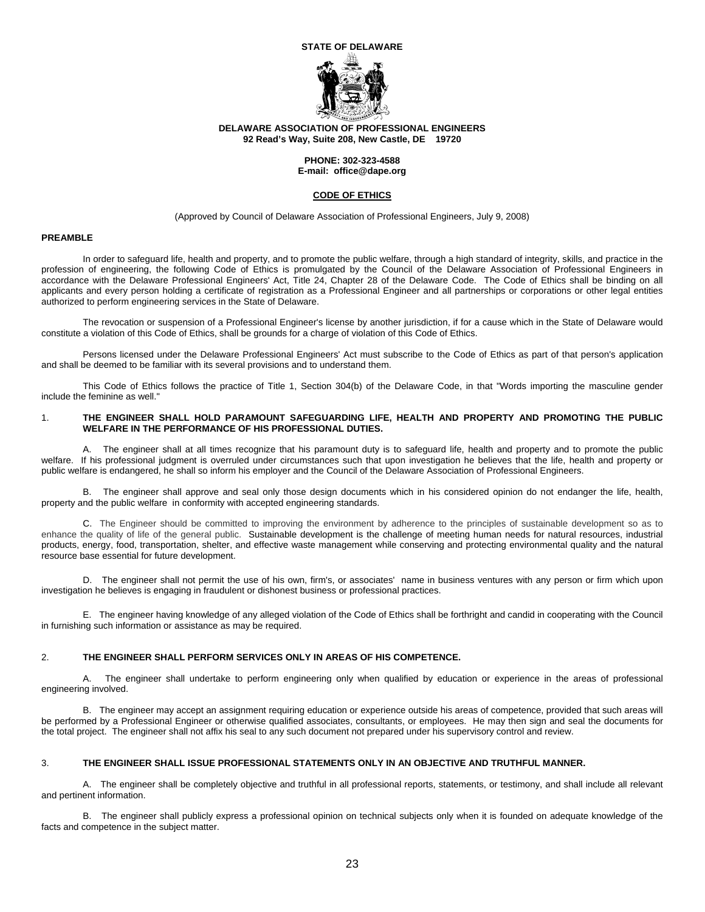#### **STATE OF DELAWARE**



#### **DELAWARE ASSOCIATION OF PROFESSIONAL ENGINEERS 92 Read's Way, Suite 208, New Castle, DE 19720**

#### **PHONE: 302-323-4588 E-mail: office@dape.org**

#### **CODE OF ETHICS**

(Approved by Council of Delaware Association of Professional Engineers, July 9, 2008)

#### **PREAMBLE**

 In order to safeguard life, health and property, and to promote the public welfare, through a high standard of integrity, skills, and practice in the profession of engineering, the following Code of Ethics is promulgated by the Council of the Delaware Association of Professional Engineers in accordance with the Delaware Professional Engineers' Act, Title 24, Chapter 28 of the Delaware Code. The Code of Ethics shall be binding on all applicants and every person holding a certificate of registration as a Professional Engineer and all partnerships or corporations or other legal entities authorized to perform engineering services in the State of Delaware.

 The revocation or suspension of a Professional Engineer's license by another jurisdiction, if for a cause which in the State of Delaware would constitute a violation of this Code of Ethics, shall be grounds for a charge of violation of this Code of Ethics.

 Persons licensed under the Delaware Professional Engineers' Act must subscribe to the Code of Ethics as part of that person's application and shall be deemed to be familiar with its several provisions and to understand them.

 This Code of Ethics follows the practice of Title 1, Section 304(b) of the Delaware Code, in that "Words importing the masculine gender include the feminine as well."

#### 1. **THE ENGINEER SHALL HOLD PARAMOUNT SAFEGUARDING LIFE, HEALTH AND PROPERTY AND PROMOTING THE PUBLIC WELFARE IN THE PERFORMANCE OF HIS PROFESSIONAL DUTIES.**

 A. The engineer shall at all times recognize that his paramount duty is to safeguard life, health and property and to promote the public welfare. If his professional judgment is overruled under circumstances such that upon investigation he believes that the life, health and property or public welfare is endangered, he shall so inform his employer and the Council of the Delaware Association of Professional Engineers.

 B. The engineer shall approve and seal only those design documents which in his considered opinion do not endanger the life, health, property and the public welfare in conformity with accepted engineering standards.

 C. The Engineer should be committed to improving the environment by adherence to the principles of sustainable development so as to enhance the quality of life of the general public. Sustainable development is the challenge of meeting human needs for natural resources, industrial products, energy, food, transportation, shelter, and effective waste management while conserving and protecting environmental quality and the natural resource base essential for future development.

 D. The engineer shall not permit the use of his own, firm's, or associates' name in business ventures with any person or firm which upon investigation he believes is engaging in fraudulent or dishonest business or professional practices.

 E. The engineer having knowledge of any alleged violation of the Code of Ethics shall be forthright and candid in cooperating with the Council in furnishing such information or assistance as may be required.

#### 2. **THE ENGINEER SHALL PERFORM SERVICES ONLY IN AREAS OF HIS COMPETENCE.**

 A. The engineer shall undertake to perform engineering only when qualified by education or experience in the areas of professional engineering involved.

 B. The engineer may accept an assignment requiring education or experience outside his areas of competence, provided that such areas will be performed by a Professional Engineer or otherwise qualified associates, consultants, or employees. He may then sign and seal the documents for the total project. The engineer shall not affix his seal to any such document not prepared under his supervisory control and review.

#### 3. **THE ENGINEER SHALL ISSUE PROFESSIONAL STATEMENTS ONLY IN AN OBJECTIVE AND TRUTHFUL MANNER.**

 A. The engineer shall be completely objective and truthful in all professional reports, statements, or testimony, and shall include all relevant and pertinent information.

 B. The engineer shall publicly express a professional opinion on technical subjects only when it is founded on adequate knowledge of the facts and competence in the subject matter.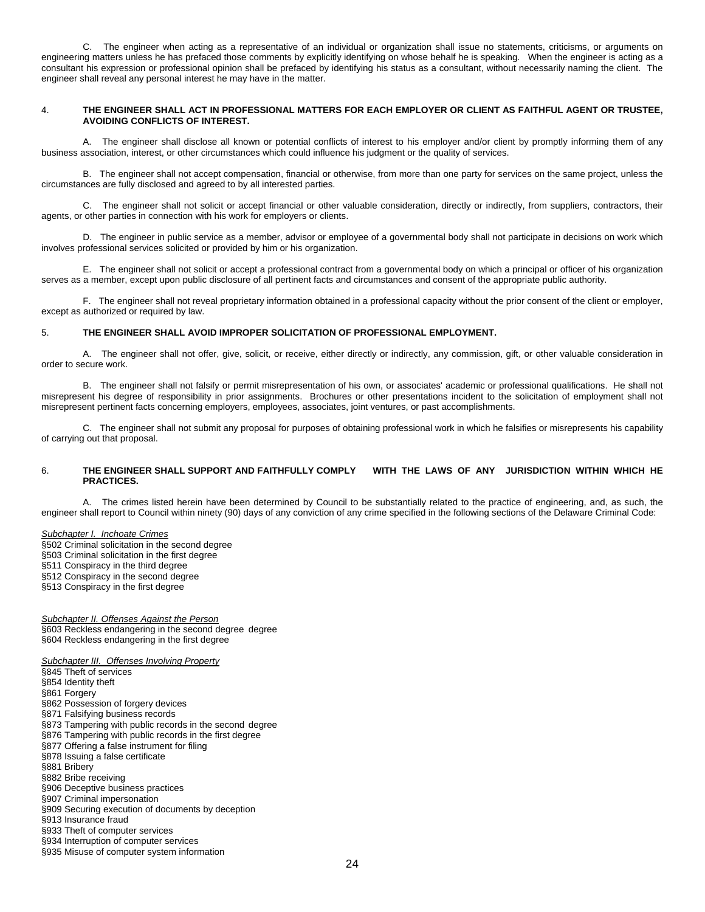C. The engineer when acting as a representative of an individual or organization shall issue no statements, criticisms, or arguments on engineering matters unless he has prefaced those comments by explicitly identifying on whose behalf he is speaking. When the engineer is acting as a consultant his expression or professional opinion shall be prefaced by identifying his status as a consultant, without necessarily naming the client. The engineer shall reveal any personal interest he may have in the matter.

#### 4. **THE ENGINEER SHALL ACT IN PROFESSIONAL MATTERS FOR EACH EMPLOYER OR CLIENT AS FAITHFUL AGENT OR TRUSTEE, AVOIDING CONFLICTS OF INTEREST.**

 A. The engineer shall disclose all known or potential conflicts of interest to his employer and/or client by promptly informing them of any business association, interest, or other circumstances which could influence his judgment or the quality of services.

 B. The engineer shall not accept compensation, financial or otherwise, from more than one party for services on the same project, unless the circumstances are fully disclosed and agreed to by all interested parties.

 C. The engineer shall not solicit or accept financial or other valuable consideration, directly or indirectly, from suppliers, contractors, their agents, or other parties in connection with his work for employers or clients.

 D. The engineer in public service as a member, advisor or employee of a governmental body shall not participate in decisions on work which involves professional services solicited or provided by him or his organization.

 E. The engineer shall not solicit or accept a professional contract from a governmental body on which a principal or officer of his organization serves as a member, except upon public disclosure of all pertinent facts and circumstances and consent of the appropriate public authority.

 F. The engineer shall not reveal proprietary information obtained in a professional capacity without the prior consent of the client or employer, except as authorized or required by law.

#### 5. **THE ENGINEER SHALL AVOID IMPROPER SOLICITATION OF PROFESSIONAL EMPLOYMENT.**

 A. The engineer shall not offer, give, solicit, or receive, either directly or indirectly, any commission, gift, or other valuable consideration in order to secure work.

 B. The engineer shall not falsify or permit misrepresentation of his own, or associates' academic or professional qualifications. He shall not misrepresent his degree of responsibility in prior assignments. Brochures or other presentations incident to the solicitation of employment shall not misrepresent pertinent facts concerning employers, employees, associates, joint ventures, or past accomplishments.

 C. The engineer shall not submit any proposal for purposes of obtaining professional work in which he falsifies or misrepresents his capability of carrying out that proposal.

#### 6. **THE ENGINEER SHALL SUPPORT AND FAITHFULLY COMPLY WITH THE LAWS OF ANY JURISDICTION WITHIN WHICH HE PRACTICES.**

A. The crimes listed herein have been determined by Council to be substantially related to the practice of engineering, and, as such, the engineer shall report to Council within ninety (90) days of any conviction of any crime specified in the following sections of the Delaware Criminal Code:

*Subchapter I. Inchoate Crimes*  §502 Criminal solicitation in the second degree §503 Criminal solicitation in the first degree §511 Conspiracy in the third degree

§512 Conspiracy in the second degree §513 Conspiracy in the first degree

*Subchapter II. Offenses Against the Person* §603 Reckless endangering in the second degree degree §604 Reckless endangering in the first degree

*Subchapter III. Offenses Involving Property*

§845 Theft of services

§854 Identity theft

§861 Forgery

§862 Possession of forgery devices

§871 Falsifying business records

§873 Tampering with public records in the second degree

§876 Tampering with public records in the first degree

§877 Offering a false instrument for filing

§878 Issuing a false certificate

§881 Bribery

§882 Bribe receiving

§906 Deceptive business practices

§907 Criminal impersonation

§909 Securing execution of documents by deception

§913 Insurance fraud

§933 Theft of computer services

§934 Interruption of computer services

§935 Misuse of computer system information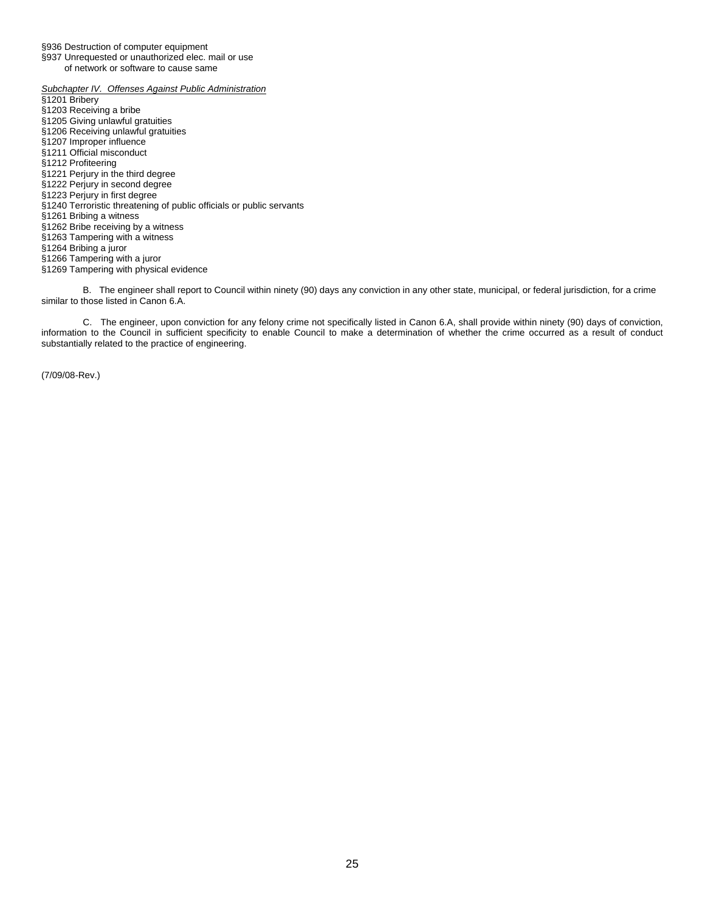§936 Destruction of computer equipment

§937 Unrequested or unauthorized elec. mail or use of network or software to cause same

*Subchapter IV. Offenses Against Public Administration*  §1201 Bribery §1203 Receiving a bribe §1205 Giving unlawful gratuities §1206 Receiving unlawful gratuities §1207 Improper influence §1211 Official misconduct §1212 Profiteering §1221 Perjury in the third degree §1222 Perjury in second degree §1223 Perjury in first degree §1240 Terroristic threatening of public officials or public servants §1261 Bribing a witness §1262 Bribe receiving by a witness §1263 Tampering with a witness §1264 Bribing a juror §1266 Tampering with a juror §1269 Tampering with physical evidence

 B. The engineer shall report to Council within ninety (90) days any conviction in any other state, municipal, or federal jurisdiction, for a crime similar to those listed in Canon 6.A.

 C. The engineer, upon conviction for any felony crime not specifically listed in Canon 6.A, shall provide within ninety (90) days of conviction, information to the Council in sufficient specificity to enable Council to make a determination of whether the crime occurred as a result of conduct substantially related to the practice of engineering.

(7/09/08-Rev.)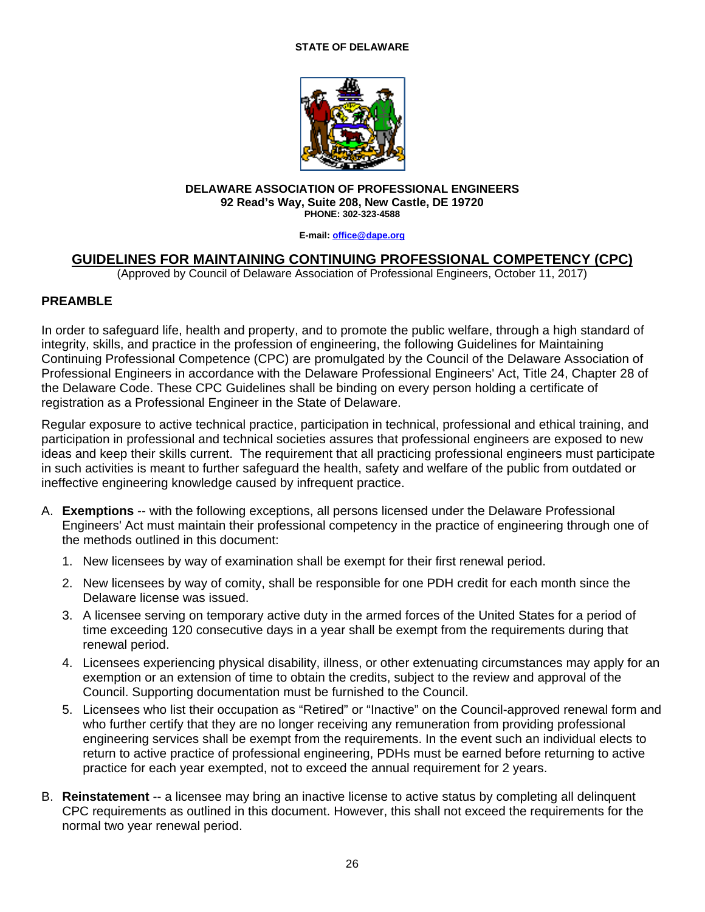# **STATE OF DELAWARE**



#### **DELAWARE ASSOCIATION OF PROFESSIONAL ENGINEERS 92 Read's Way, Suite 208, New Castle, DE 19720 PHONE: 302-323-4588**

**E-mail: office@dape.org**

# **GUIDELINES FOR MAINTAINING CONTINUING PROFESSIONAL COMPETENCY (CPC)**

(Approved by Council of Delaware Association of Professional Engineers, October 11, 2017)

# **PREAMBLE**

In order to safeguard life, health and property, and to promote the public welfare, through a high standard of integrity, skills, and practice in the profession of engineering, the following Guidelines for Maintaining Continuing Professional Competence (CPC) are promulgated by the Council of the Delaware Association of Professional Engineers in accordance with the Delaware Professional Engineers' Act, Title 24, Chapter 28 of the Delaware Code. These CPC Guidelines shall be binding on every person holding a certificate of registration as a Professional Engineer in the State of Delaware.

Regular exposure to active technical practice, participation in technical, professional and ethical training, and participation in professional and technical societies assures that professional engineers are exposed to new ideas and keep their skills current. The requirement that all practicing professional engineers must participate in such activities is meant to further safeguard the health, safety and welfare of the public from outdated or ineffective engineering knowledge caused by infrequent practice.

- A. **Exemptions** -- with the following exceptions, all persons licensed under the Delaware Professional Engineers' Act must maintain their professional competency in the practice of engineering through one of the methods outlined in this document:
	- 1. New licensees by way of examination shall be exempt for their first renewal period.
	- 2. New licensees by way of comity, shall be responsible for one PDH credit for each month since the Delaware license was issued.
	- 3. A licensee serving on temporary active duty in the armed forces of the United States for a period of time exceeding 120 consecutive days in a year shall be exempt from the requirements during that renewal period.
	- 4. Licensees experiencing physical disability, illness, or other extenuating circumstances may apply for an exemption or an extension of time to obtain the credits, subject to the review and approval of the Council. Supporting documentation must be furnished to the Council.
	- 5. Licensees who list their occupation as "Retired" or "Inactive" on the Council-approved renewal form and who further certify that they are no longer receiving any remuneration from providing professional engineering services shall be exempt from the requirements. In the event such an individual elects to return to active practice of professional engineering, PDHs must be earned before returning to active practice for each year exempted, not to exceed the annual requirement for 2 years.
- B. **Reinstatement** -- a licensee may bring an inactive license to active status by completing all delinquent CPC requirements as outlined in this document. However, this shall not exceed the requirements for the normal two year renewal period.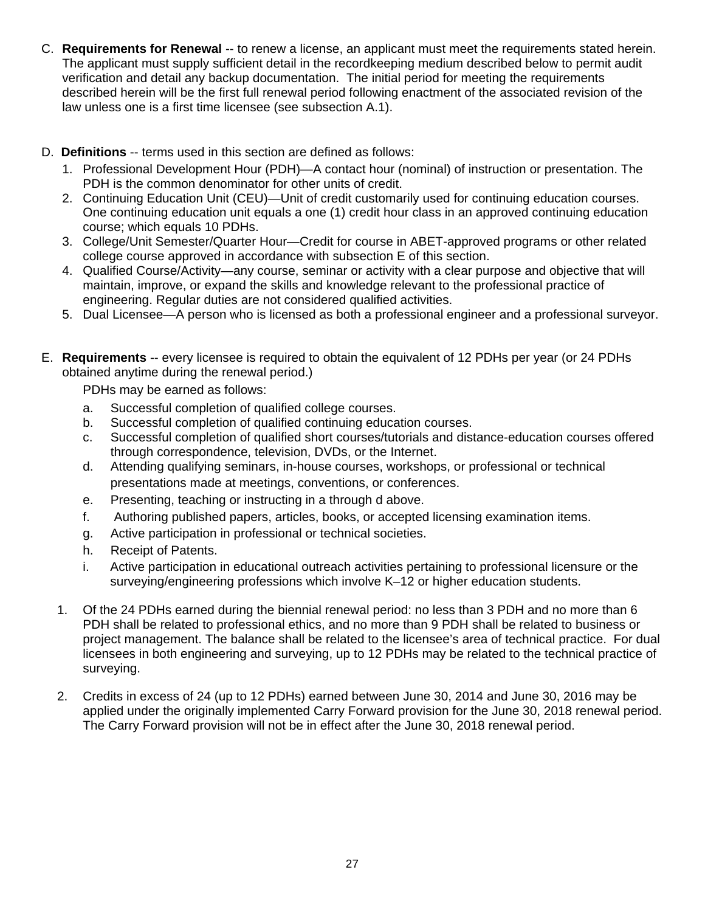- C. **Requirements for Renewal** -- to renew a license, an applicant must meet the requirements stated herein. The applicant must supply sufficient detail in the recordkeeping medium described below to permit audit verification and detail any backup documentation. The initial period for meeting the requirements described herein will be the first full renewal period following enactment of the associated revision of the law unless one is a first time licensee (see subsection A.1).
- D. **Definitions** -- terms used in this section are defined as follows:
	- 1. Professional Development Hour (PDH)—A contact hour (nominal) of instruction or presentation. The PDH is the common denominator for other units of credit.
	- 2. Continuing Education Unit (CEU)—Unit of credit customarily used for continuing education courses. One continuing education unit equals a one (1) credit hour class in an approved continuing education course; which equals 10 PDHs.
	- 3. College/Unit Semester/Quarter Hour—Credit for course in ABET-approved programs or other related college course approved in accordance with subsection E of this section.
	- 4. Qualified Course/Activity—any course, seminar or activity with a clear purpose and objective that will maintain, improve, or expand the skills and knowledge relevant to the professional practice of engineering. Regular duties are not considered qualified activities.
	- 5. Dual Licensee—A person who is licensed as both a professional engineer and a professional surveyor.
- E. **Requirements** -- every licensee is required to obtain the equivalent of 12 PDHs per year (or 24 PDHs obtained anytime during the renewal period.)

PDHs may be earned as follows:

- a. Successful completion of qualified college courses.
- b. Successful completion of qualified continuing education courses.
- c. Successful completion of qualified short courses/tutorials and distance-education courses offered through correspondence, television, DVDs, or the Internet.
- d. Attending qualifying seminars, in-house courses, workshops, or professional or technical presentations made at meetings, conventions, or conferences.
- e. Presenting, teaching or instructing in a through d above.
- f. Authoring published papers, articles, books, or accepted licensing examination items.
- g. Active participation in professional or technical societies.
- h. Receipt of Patents.
- i. Active participation in educational outreach activities pertaining to professional licensure or the surveying/engineering professions which involve K–12 or higher education students.
- 1. Of the 24 PDHs earned during the biennial renewal period: no less than 3 PDH and no more than 6 PDH shall be related to professional ethics, and no more than 9 PDH shall be related to business or project management. The balance shall be related to the licensee's area of technical practice. For dual licensees in both engineering and surveying, up to 12 PDHs may be related to the technical practice of surveying.
- 2. Credits in excess of 24 (up to 12 PDHs) earned between June 30, 2014 and June 30, 2016 may be applied under the originally implemented Carry Forward provision for the June 30, 2018 renewal period. The Carry Forward provision will not be in effect after the June 30, 2018 renewal period.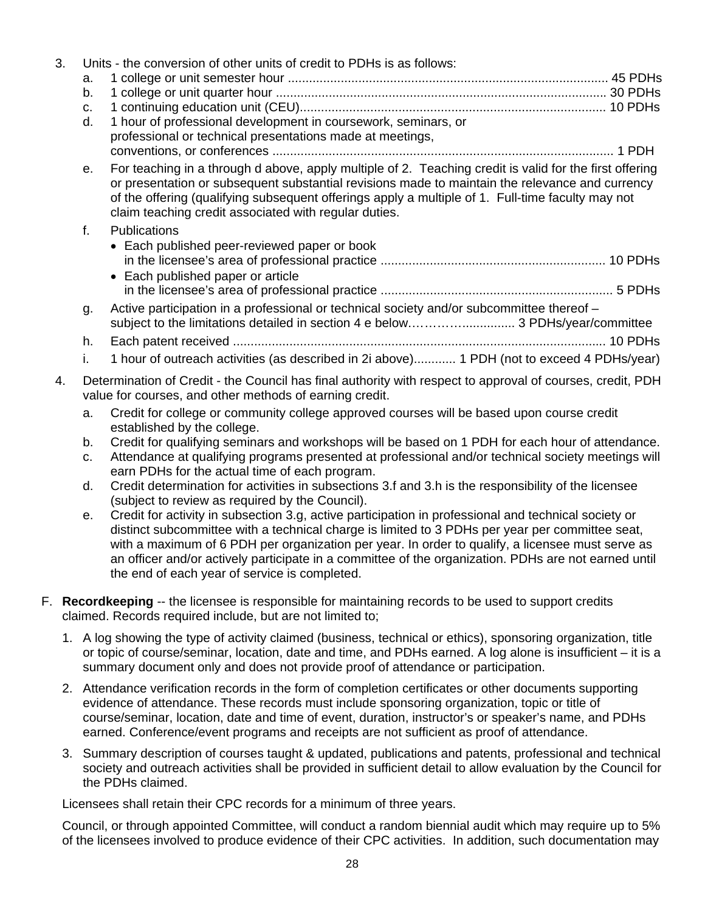| 3. | a.          | Units - the conversion of other units of credit to PDHs is as follows:                                                                                                                                                                                                                                                                                                   |
|----|-------------|--------------------------------------------------------------------------------------------------------------------------------------------------------------------------------------------------------------------------------------------------------------------------------------------------------------------------------------------------------------------------|
|    | b.          |                                                                                                                                                                                                                                                                                                                                                                          |
|    | C.<br>d.    | 1 hour of professional development in coursework, seminars, or                                                                                                                                                                                                                                                                                                           |
|    |             | professional or technical presentations made at meetings,                                                                                                                                                                                                                                                                                                                |
|    |             |                                                                                                                                                                                                                                                                                                                                                                          |
|    | е.          | For teaching in a through d above, apply multiple of 2. Teaching credit is valid for the first offering<br>or presentation or subsequent substantial revisions made to maintain the relevance and currency<br>of the offering (qualifying subsequent offerings apply a multiple of 1. Full-time faculty may not<br>claim teaching credit associated with regular duties. |
|    | $f_{\cdot}$ | <b>Publications</b>                                                                                                                                                                                                                                                                                                                                                      |
|    |             | • Each published peer-reviewed paper or book<br>• Each published paper or article                                                                                                                                                                                                                                                                                        |
|    |             |                                                                                                                                                                                                                                                                                                                                                                          |
|    | g.          | Active participation in a professional or technical society and/or subcommittee thereof -<br>subject to the limitations detailed in section 4 e below 3 PDHs/year/committee                                                                                                                                                                                              |
|    | h.          |                                                                                                                                                                                                                                                                                                                                                                          |
|    | i.          | 1 hour of outreach activities (as described in 2i above) 1 PDH (not to exceed 4 PDHs/year)                                                                                                                                                                                                                                                                               |
| 4. |             | Determination of Credit - the Council has final authority with respect to approval of courses, credit, PDH<br>value for courses, and other methods of earning credit.                                                                                                                                                                                                    |
|    | a.          | Credit for college or community college approved courses will be based upon course credit<br>established by the college.                                                                                                                                                                                                                                                 |
|    | b.          | Credit for qualifying seminars and workshops will be based on 1 PDH for each hour of attendance.                                                                                                                                                                                                                                                                         |
|    | C.          | Attendance at qualifying programs presented at professional and/or technical society meetings will                                                                                                                                                                                                                                                                       |
|    |             | earn PDHs for the actual time of each program.                                                                                                                                                                                                                                                                                                                           |
|    | d.          | Credit determination for activities in subsections 3.f and 3.h is the responsibility of the licensee<br>(subject to review as required by the Council).                                                                                                                                                                                                                  |

- e. Credit for activity in subsection 3.g, active participation in professional and technical society or distinct subcommittee with a technical charge is limited to 3 PDHs per year per committee seat, with a maximum of 6 PDH per organization per year. In order to qualify, a licensee must serve as an officer and/or actively participate in a committee of the organization. PDHs are not earned until the end of each year of service is completed.
- F. **Recordkeeping** -- the licensee is responsible for maintaining records to be used to support credits claimed. Records required include, but are not limited to;
	- 1. A log showing the type of activity claimed (business, technical or ethics), sponsoring organization, title or topic of course/seminar, location, date and time, and PDHs earned. A log alone is insufficient – it is a summary document only and does not provide proof of attendance or participation.
	- 2. Attendance verification records in the form of completion certificates or other documents supporting evidence of attendance. These records must include sponsoring organization, topic or title of course/seminar, location, date and time of event, duration, instructor's or speaker's name, and PDHs earned. Conference/event programs and receipts are not sufficient as proof of attendance.
	- 3. Summary description of courses taught & updated, publications and patents, professional and technical society and outreach activities shall be provided in sufficient detail to allow evaluation by the Council for the PDHs claimed.

Licensees shall retain their CPC records for a minimum of three years.

Council, or through appointed Committee, will conduct a random biennial audit which may require up to 5% of the licensees involved to produce evidence of their CPC activities. In addition, such documentation may